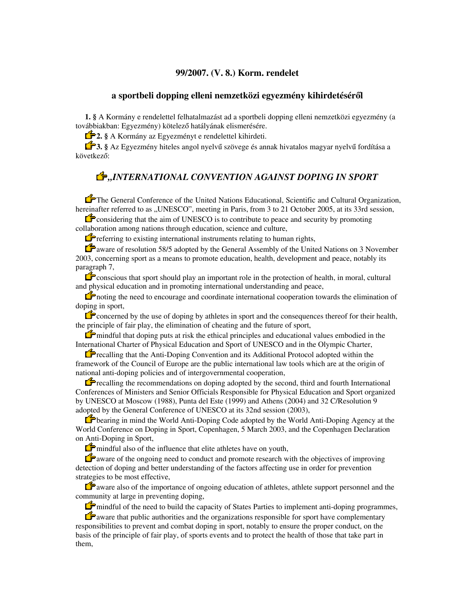#### **99/2007. (V. 8.) Korm. rendelet**

#### **a sportbeli dopping elleni nemzetközi egyezmény kihirdetéséről**

**1. §** A Kormány e rendelettel felhatalmazást ad a sportbeli dopping elleni nemzetközi egyezmény (a továbbiakban: Egyezmény) kötelező hatályának elismerésére.

**2. §** A Kormány az Egyezményt e rendelettel kihirdeti.

**3.** § Az Egyezmény hiteles angol nyelvű szövege és annak hivatalos magyar nyelvű fordítása a következő:

# *"INTERNATIONAL CONVENTION AGAINST DOPING IN SPORT*

The General Conference of the United Nations Educational, Scientific and Cultural Organization, hereinafter referred to as "UNESCO", meeting in Paris, from 3 to 21 October 2005, at its 33rd session,

 $\hat{C}$  considering that the aim of UNESCO is to contribute to peace and security by promoting collaboration among nations through education, science and culture,

 $\mathbf \hat{r}$  referring to existing international instruments relating to human rights,

 $\mathbf{G}$  aware of resolution 58/5 adopted by the General Assembly of the United Nations on 3 November 2003, concerning sport as a means to promote education, health, development and peace, notably its paragraph 7,

 $\mathbb{C}$  conscious that sport should play an important role in the protection of health, in moral, cultural and physical education and in promoting international understanding and peace,

 $\mathbf{\hat{G}}$  noting the need to encourage and coordinate international cooperation towards the elimination of doping in sport,

 $\mathbf{C}$  concerned by the use of doping by athletes in sport and the consequences thereof for their health, the principle of fair play, the elimination of cheating and the future of sport,

 $\mathbf{\hat{G}}$  mindful that doping puts at risk the ethical principles and educational values embodied in the International Charter of Physical Education and Sport of UNESCO and in the Olympic Charter,

 $\mathbf{F}$  recalling that the Anti-Doping Convention and its Additional Protocol adopted within the framework of the Council of Europe are the public international law tools which are at the origin of national anti-doping policies and of intergovernmental cooperation,

 $\mathbf{\hat{C}}$  recalling the recommendations on doping adopted by the second, third and fourth International Conferences of Ministers and Senior Officials Responsible for Physical Education and Sport organized by UNESCO at Moscow (1988), Punta del Este (1999) and Athens (2004) and 32 C/Resolution 9 adopted by the General Conference of UNESCO at its 32nd session (2003),

bearing in mind the World Anti-Doping Code adopted by the World Anti-Doping Agency at the World Conference on Doping in Sport, Copenhagen, 5 March 2003, and the Copenhagen Declaration on Anti-Doping in Sport,

 $\mathbf{F}$  mindful also of the influence that elite athletes have on youth,

 $\mathbf{G}$  aware of the ongoing need to conduct and promote research with the objectives of improving detection of doping and better understanding of the factors affecting use in order for prevention strategies to be most effective,

 $\mathbf{\hat{G}}$  aware also of the importance of ongoing education of athletes, athlete support personnel and the community at large in preventing doping,

 $\mathbb{F}$  mindful of the need to build the capacity of States Parties to implement anti-doping programmes,

 $\mathbf{G}$  aware that public authorities and the organizations responsible for sport have complementary responsibilities to prevent and combat doping in sport, notably to ensure the proper conduct, on the basis of the principle of fair play, of sports events and to protect the health of those that take part in them,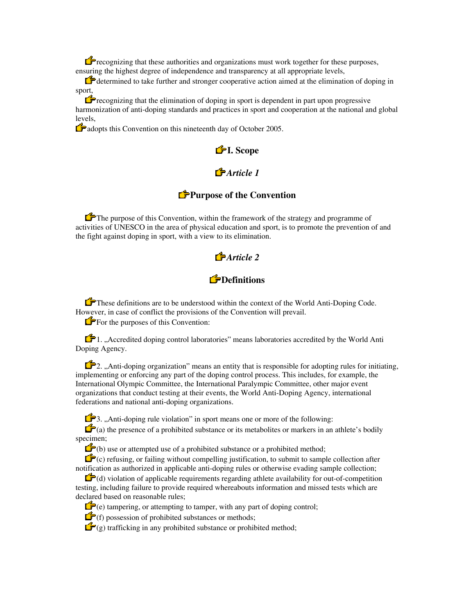$\mathbf{r}$  recognizing that these authorities and organizations must work together for these purposes, ensuring the highest degree of independence and transparency at all appropriate levels,

 $\mathbf{\hat{G}}$  determined to take further and stronger cooperative action aimed at the elimination of doping in sport,

 $\mathbf{\hat{F}}$  recognizing that the elimination of doping in sport is dependent in part upon progressive harmonization of anti-doping standards and practices in sport and cooperation at the national and global levels,

 $\mathbf{F}$  adopts this Convention on this nineteenth day of October 2005.

# **I. Scope**

# *Article 1*

# **Purpose of the Convention**

The purpose of this Convention, within the framework of the strategy and programme of activities of UNESCO in the area of physical education and sport, is to promote the prevention of and the fight against doping in sport, with a view to its elimination.



# **Definitions**

These definitions are to be understood within the context of the World Anti-Doping Code. However, in case of conflict the provisions of the Convention will prevail.

 $\mathbf{F}$  For the purposes of this Convention:

 $\mathbf{F}_1$ . "Accredited doping control laboratories" means laboratories accredited by the World Anti Doping Agency.

 $\mathbb{Z}^2$ . "Anti-doping organization" means an entity that is responsible for adopting rules for initiating, implementing or enforcing any part of the doping control process. This includes, for example, the International Olympic Committee, the International Paralympic Committee, other major event organizations that conduct testing at their events, the World Anti-Doping Agency, international federations and national anti-doping organizations.

 $\mathbb{Z}$ 3. "Anti-doping rule violation" in sport means one or more of the following:

 $\mathbf{G}$  (a) the presence of a prohibited substance or its metabolites or markers in an athlete's bodily specimen;

 $\mathbf{G}$  (b) use or attempted use of a prohibited substance or a prohibited method;

 $\mathbb{C}^{\bullet}$  (c) refusing, or failing without compelling justification, to submit to sample collection after notification as authorized in applicable anti-doping rules or otherwise evading sample collection;

 $\mathbf{G}(\mathbf{d})$  violation of applicable requirements regarding athlete availability for out-of-competition testing, including failure to provide required whereabouts information and missed tests which are declared based on reasonable rules;

 $\mathbf{F}$ (e) tampering, or attempting to tamper, with any part of doping control;

 $\mathbf{F}$ (f) possession of prohibited substances or methods;

 $\mathbf{G}^{\bullet}$  (g) trafficking in any prohibited substance or prohibited method;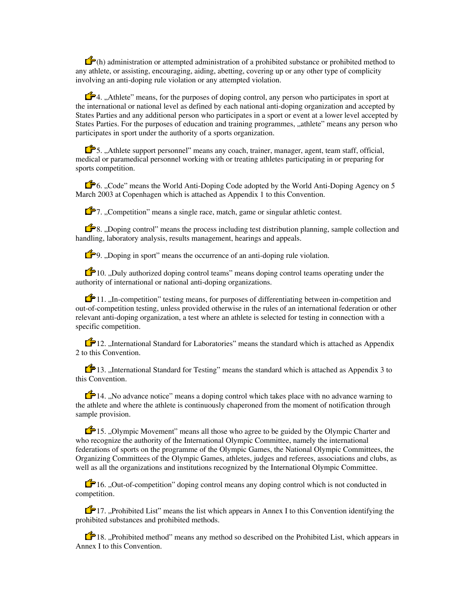$\mathbf{C}$  (h) administration or attempted administration of a prohibited substance or prohibited method to any athlete, or assisting, encouraging, aiding, abetting, covering up or any other type of complicity involving an anti-doping rule violation or any attempted violation.

 $\mathbb{Z}$ 4. "Athlete" means, for the purposes of doping control, any person who participates in sport at the international or national level as defined by each national anti-doping organization and accepted by States Parties and any additional person who participates in a sport or event at a lower level accepted by States Parties. For the purposes of education and training programmes, "athlete" means any person who participates in sport under the authority of a sports organization.

 $\mathbf{F}$ 5. "Athlete support personnel" means any coach, trainer, manager, agent, team staff, official, medical or paramedical personnel working with or treating athletes participating in or preparing for sports competition.

 $\mathbf{G}$ 6. ..Code" means the World Anti-Doping Code adopted by the World Anti-Doping Agency on 5 March 2003 at Copenhagen which is attached as Appendix 1 to this Convention.

 $\mathbf{F}$ 7. "Competition" means a single race, match, game or singular athletic contest.

 $\hat{\mathbb{S}}$ 8. . Doping control" means the process including test distribution planning, sample collection and handling, laboratory analysis, results management, hearings and appeals.

 $\mathbb{F}$ 9. "Doping in sport" means the occurrence of an anti-doping rule violation.

 $\mathbf{F}$  10. "Duly authorized doping control teams" means doping control teams operating under the authority of international or national anti-doping organizations.

 $\mathbf{I}$  11. "In-competition" testing means, for purposes of differentiating between in-competition and out-of-competition testing, unless provided otherwise in the rules of an international federation or other relevant anti-doping organization, a test where an athlete is selected for testing in connection with a specific competition.

 $\mathbb{F}$ 12. "International Standard for Laboratories" means the standard which is attached as Appendix 2 to this Convention.

 $\mathbf{F}$ 13. "International Standard for Testing" means the standard which is attached as Appendix 3 to this Convention.

 $\mathbf{F}$  14. "No advance notice" means a doping control which takes place with no advance warning to the athlete and where the athlete is continuously chaperoned from the moment of notification through sample provision.

15. "Olympic Movement" means all those who agree to be guided by the Olympic Charter and who recognize the authority of the International Olympic Committee, namely the international federations of sports on the programme of the Olympic Games, the National Olympic Committees, the Organizing Committees of the Olympic Games, athletes, judges and referees, associations and clubs, as well as all the organizations and institutions recognized by the International Olympic Committee.

 $\mathbf{F}$  16. "Out-of-competition" doping control means any doping control which is not conducted in competition.

17. "Prohibited List" means the list which appears in Annex I to this Convention identifying the prohibited substances and prohibited methods.

 $\mathbb{Z}$  18. "Prohibited method" means any method so described on the Prohibited List, which appears in Annex I to this Convention.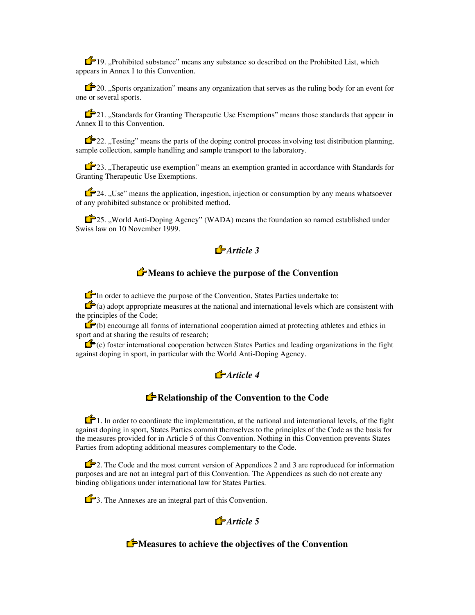$\mathbb{I}$  19. "Prohibited substance" means any substance so described on the Prohibited List, which appears in Annex I to this Convention.

 $\mathbb{Z}$ 20. "Sports organization" means any organization that serves as the ruling body for an event for one or several sports.

 $\mathbb{Z}$ 21. "Standards for Granting Therapeutic Use Exemptions" means those standards that appear in Annex II to this Convention.

 $\mathbf{F}$  22. "Testing" means the parts of the doping control process involving test distribution planning, sample collection, sample handling and sample transport to the laboratory.

 $\mathbb{Z}$  23. "Therapeutic use exemption" means an exemption granted in accordance with Standards for Granting Therapeutic Use Exemptions.

 $\mathbb{Z}$  24. "Use" means the application, ingestion, injection or consumption by any means whatsoever of any prohibited substance or prohibited method.

 $\mathbb{Z}$ 25. "World Anti-Doping Agency" (WADA) means the foundation so named established under Swiss law on 10 November 1999.



# **f** Means to achieve the purpose of the Convention

In order to achieve the purpose of the Convention, States Parties undertake to:

 $\hat{G}$  (a) adopt appropriate measures at the national and international levels which are consistent with the principles of the Code;

 $\mathbf{C}$  (b) encourage all forms of international cooperation aimed at protecting athletes and ethics in sport and at sharing the results of research;

 $\mathbf{C}$  (c) foster international cooperation between States Parties and leading organizations in the fight against doping in sport, in particular with the World Anti-Doping Agency.

# *Article 4*

### **Relationship of the Convention to the Code**

1. In order to coordinate the implementation, at the national and international levels, of the fight against doping in sport, States Parties commit themselves to the principles of the Code as the basis for the measures provided for in Article 5 of this Convention. Nothing in this Convention prevents States Parties from adopting additional measures complementary to the Code.

 $\mathbb{Z}$ . The Code and the most current version of Appendices 2 and 3 are reproduced for information purposes and are not an integral part of this Convention. The Appendices as such do not create any binding obligations under international law for States Parties.

3. The Annexes are an integral part of this Convention.



#### **Measures to achieve the objectives of the Convention**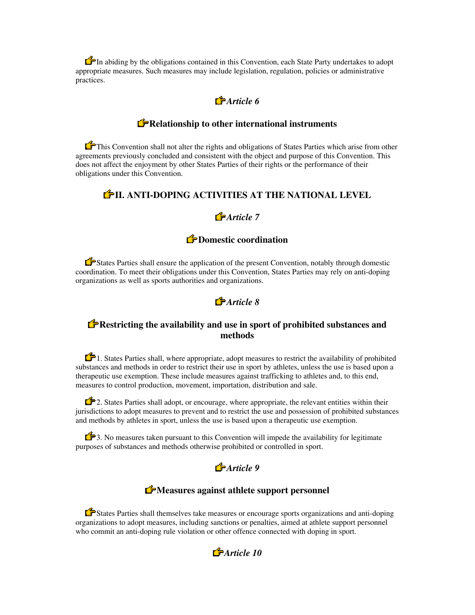In abiding by the obligations contained in this Convention, each State Party undertakes to adopt appropriate measures. Such measures may include legislation, regulation, policies or administrative practices.



### **Relationship to other international instruments**

 $\mathbf{F}$ This Convention shall not alter the rights and obligations of States Parties which arise from other agreements previously concluded and consistent with the object and purpose of this Convention. This does not affect the enjoyment by other States Parties of their rights or the performance of their obligations under this Convention.

### **IF II. ANTI-DOPING ACTIVITIES AT THE NATIONAL LEVEL**



### **Domestic coordination**

States Parties shall ensure the application of the present Convention, notably through domestic coordination. To meet their obligations under this Convention, States Parties may rely on anti-doping organizations as well as sports authorities and organizations.



### **Restricting the availability and use in sport of prohibited substances and methods**

1. States Parties shall, where appropriate, adopt measures to restrict the availability of prohibited substances and methods in order to restrict their use in sport by athletes, unless the use is based upon a therapeutic use exemption. These include measures against trafficking to athletes and, to this end, measures to control production, movement, importation, distribution and sale.

 $\mathbf{F}$ 2. States Parties shall adopt, or encourage, where appropriate, the relevant entities within their jurisdictions to adopt measures to prevent and to restrict the use and possession of prohibited substances and methods by athletes in sport, unless the use is based upon a therapeutic use exemption.

 $\mathbb{F}$ 3. No measures taken pursuant to this Convention will impede the availability for legitimate purposes of substances and methods otherwise prohibited or controlled in sport.

*Article 9*

## **f**Measures against athlete support personnel

States Parties shall themselves take measures or encourage sports organizations and anti-doping organizations to adopt measures, including sanctions or penalties, aimed at athlete support personnel who commit an anti-doping rule violation or other offence connected with doping in sport.

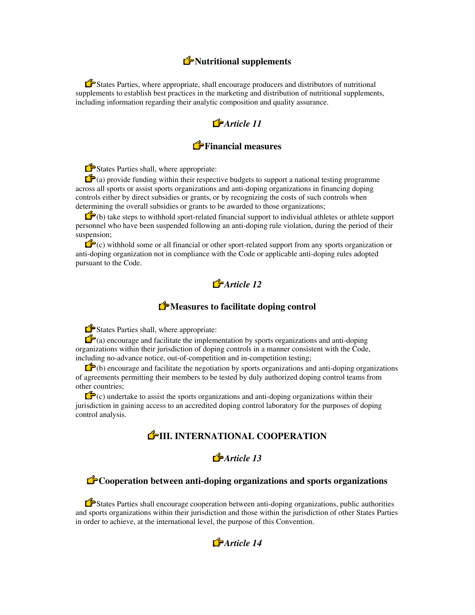#### *<u></u>***Nutritional supplements**

 $\mathbb{S}$  States Parties, where appropriate, shall encourage producers and distributors of nutritional supplements to establish best practices in the marketing and distribution of nutritional supplements, including information regarding their analytic composition and quality assurance.



### **Financial measures**

 $\mathbf{F}$  States Parties shall, where appropriate:

 $\mathbf{G}$  (a) provide funding within their respective budgets to support a national testing programme across all sports or assist sports organizations and anti-doping organizations in financing doping controls either by direct subsidies or grants, or by recognizing the costs of such controls when determining the overall subsidies or grants to be awarded to those organizations;

 $\mathbf{G}$  (b) take steps to withhold sport-related financial support to individual athletes or athlete support personnel who have been suspended following an anti-doping rule violation, during the period of their suspension;

 $\mathbf{G}$  (c) withhold some or all financial or other sport-related support from any sports organization or anti-doping organization not in compliance with the Code or applicable anti-doping rules adopted pursuant to the Code.

*Article 12*

# **F**Measures to facilitate doping control

States Parties shall, where appropriate:

 $\mathbf{G}$  (a) encourage and facilitate the implementation by sports organizations and anti-doping organizations within their jurisdiction of doping controls in a manner consistent with the Code, including no-advance notice, out-of-competition and in-competition testing;

 $\mathbf{C}^{\mathbf{F}}$  (b) encourage and facilitate the negotiation by sports organizations and anti-doping organizations of agreements permitting their members to be tested by duly authorized doping control teams from other countries;

 $\mathbf{G}$  (c) undertake to assist the sports organizations and anti-doping organizations within their jurisdiction in gaining access to an accredited doping control laboratory for the purposes of doping control analysis.

## **IFIII. INTERNATIONAL COOPERATION**

*Article 13*

#### **Cooperation between anti-doping organizations and sports organizations**

 $\mathbf{F}$  States Parties shall encourage cooperation between anti-doping organizations, public authorities and sports organizations within their jurisdiction and those within the jurisdiction of other States Parties in order to achieve, at the international level, the purpose of this Convention.

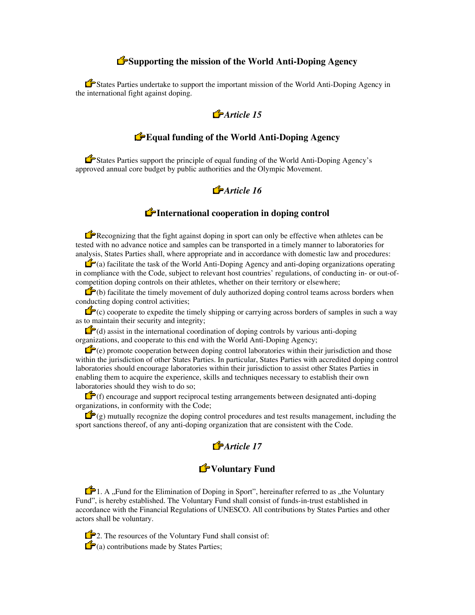# **Supporting the mission of the World Anti-Doping Agency**

States Parties undertake to support the important mission of the World Anti-Doping Agency in the international fight against doping.

### *Article 15*

### **Equal funding of the World Anti-Doping Agency**

States Parties support the principle of equal funding of the World Anti-Doping Agency's approved annual core budget by public authorities and the Olympic Movement.

### *Article 16*

## **International cooperation in doping control**

Recognizing that the fight against doping in sport can only be effective when athletes can be tested with no advance notice and samples can be transported in a timely manner to laboratories for analysis, States Parties shall, where appropriate and in accordance with domestic law and procedures:

(a) facilitate the task of the World Anti-Doping Agency and anti-doping organizations operating in compliance with the Code, subject to relevant host countries' regulations, of conducting in- or out-ofcompetition doping controls on their athletes, whether on their territory or elsewhere;

 $\mathbf{G}$  (b) facilitate the timely movement of duly authorized doping control teams across borders when conducting doping control activities;

(c) cooperate to expedite the timely shipping or carrying across borders of samples in such a way as to maintain their security and integrity;

 $\mathbf{G}(\mathbf{d})$  assist in the international coordination of doping controls by various anti-doping organizations, and cooperate to this end with the World Anti-Doping Agency;

 $\mathbf{C}$  (e) promote cooperation between doping control laboratories within their jurisdiction and those within the jurisdiction of other States Parties. In particular, States Parties with accredited doping control laboratories should encourage laboratories within their jurisdiction to assist other States Parties in enabling them to acquire the experience, skills and techniques necessary to establish their own laboratories should they wish to do so;

 $\mathbf{F}(f)$  encourage and support reciprocal testing arrangements between designated anti-doping organizations, in conformity with the Code;

 $\mathbf{G}(\mathbf{g})$  mutually recognize the doping control procedures and test results management, including the sport sanctions thereof, of any anti-doping organization that are consistent with the Code.

### *Article 17*

# **Voluntary Fund**

 $\mathbf{F}$  1. A "Fund for the Elimination of Doping in Sport", hereinafter referred to as "the Voluntary Fund", is hereby established. The Voluntary Fund shall consist of funds-in-trust established in accordance with the Financial Regulations of UNESCO. All contributions by States Parties and other actors shall be voluntary.

 $\mathbb{Z}$  2. The resources of the Voluntary Fund shall consist of:  $\mathbf{G}$  (a) contributions made by States Parties;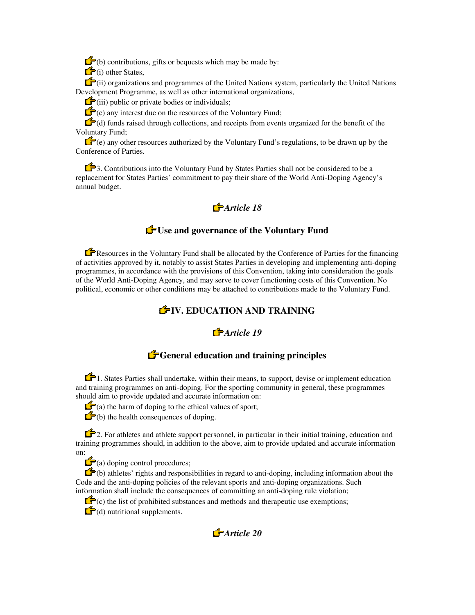$\mathbf{F}$ (b) contributions, gifts or bequests which may be made by:

 $\mathbf{G}$ (i) other States,

 $\hat{F}$ (ii) organizations and programmes of the United Nations system, particularly the United Nations Development Programme, as well as other international organizations,

 $\mathbf{G}$ (iii) public or private bodies or individuals;

 $\mathbf{F}$ (c) any interest due on the resources of the Voluntary Fund;

 $\mathbf{G}(\mathbf{d})$  funds raised through collections, and receipts from events organized for the benefit of the Voluntary Fund;

 $\mathbf{G}$  (e) any other resources authorized by the Voluntary Fund's regulations, to be drawn up by the Conference of Parties.

3. Contributions into the Voluntary Fund by States Parties shall not be considered to be a replacement for States Parties' commitment to pay their share of the World Anti-Doping Agency's annual budget.

# *Article 18*

## **Use and governance of the Voluntary Fund**

Resources in the Voluntary Fund shall be allocated by the Conference of Parties for the financing of activities approved by it, notably to assist States Parties in developing and implementing anti-doping programmes, in accordance with the provisions of this Convention, taking into consideration the goals of the World Anti-Doping Agency, and may serve to cover functioning costs of this Convention. No political, economic or other conditions may be attached to contributions made to the Voluntary Fund.

## **IV. EDUCATION AND TRAINING**

## *Article 19*

# **General education and training principles**

 $\mathbf{F}$ 1. States Parties shall undertake, within their means, to support, devise or implement education and training programmes on anti-doping. For the sporting community in general, these programmes should aim to provide updated and accurate information on:

 $\mathbf{C}$  (a) the harm of doping to the ethical values of sport;

 $\mathbf{G}$  (b) the health consequences of doping.

 $\mathbb{Z}$  Por athletes and athlete support personnel, in particular in their initial training, education and training programmes should, in addition to the above, aim to provide updated and accurate information on:

 $\mathbf{F}$ (a) doping control procedures;

 $\mathbf{C}$  (b) athletes' rights and responsibilities in regard to anti-doping, including information about the Code and the anti-doping policies of the relevant sports and anti-doping organizations. Such information shall include the consequences of committing an anti-doping rule violation;

 $\mathbf{C}$  (c) the list of prohibited substances and methods and therapeutic use exemptions;

 $\mathbf{G}$  (d) nutritional supplements.

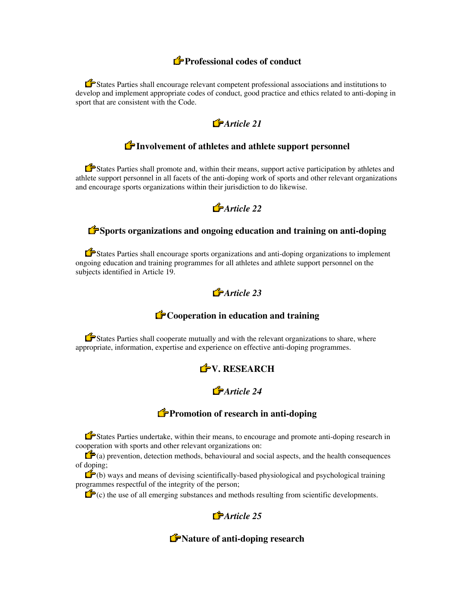# **Professional codes of conduct**

States Parties shall encourage relevant competent professional associations and institutions to develop and implement appropriate codes of conduct, good practice and ethics related to anti-doping in sport that are consistent with the Code.

## *Article 21*

### **Involvement of athletes and athlete support personnel**

**States Parties shall promote and, within their means, support active participation by athletes and** athlete support personnel in all facets of the anti-doping work of sports and other relevant organizations and encourage sports organizations within their jurisdiction to do likewise.

# *Article 22*

# **Sports organizations and ongoing education and training on anti-doping**

 $\mathbb{S}$  States Parties shall encourage sports organizations and anti-doping organizations to implement ongoing education and training programmes for all athletes and athlete support personnel on the subjects identified in Article 19.

## *Article 23*

# **Cooperation in education and training**

States Parties shall cooperate mutually and with the relevant organizations to share, where appropriate, information, expertise and experience on effective anti-doping programmes.

## **EV. RESEARCH**

# *Article 24*

# **Promotion of research in anti-doping**

 $\mathbf{G}$ States Parties undertake, within their means, to encourage and promote anti-doping research in cooperation with sports and other relevant organizations on:

 $\mathbf{F}$ (a) prevention, detection methods, behavioural and social aspects, and the health consequences of doping;

 $\hat{\mathbf{F}}$ (b) ways and means of devising scientifically-based physiological and psychological training programmes respectful of the integrity of the person;

 $\mathbf{G}$  (c) the use of all emerging substances and methods resulting from scientific developments.

# *Article 25*

#### **F**Nature of anti-doping research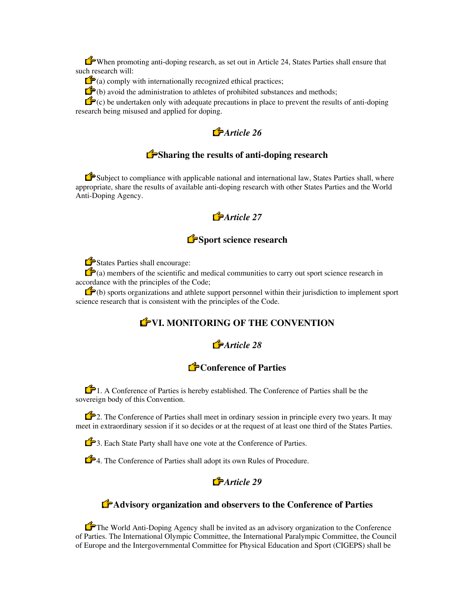When promoting anti-doping research, as set out in Article 24, States Parties shall ensure that such research will:

 $\mathbf{F}$ (a) comply with internationally recognized ethical practices;

 $\mathbf{C}$  (b) avoid the administration to athletes of prohibited substances and methods;

 $\mathbf{G}$  (c) be undertaken only with adequate precautions in place to prevent the results of anti-doping research being misused and applied for doping.

# *Article 26*

# **Sharing the results of anti-doping research**

 $\mathbf{S}$  Subject to compliance with applicable national and international law, States Parties shall, where appropriate, share the results of available anti-doping research with other States Parties and the World Anti-Doping Agency.



# **Sport science research**

States Parties shall encourage:

 $\hat{F}(a)$  members of the scientific and medical communities to carry out sport science research in accordance with the principles of the Code;

 $\mathbf{G}$  (b) sports organizations and athlete support personnel within their jurisdiction to implement sport science research that is consistent with the principles of the Code.

### **FVI. MONITORING OF THE CONVENTION**

### *Article 28*

# **Conference of Parties**

 $\Box$  1. A Conference of Parties is hereby established. The Conference of Parties shall be the sovereign body of this Convention.

 $\mathbb{Z}^2$  2. The Conference of Parties shall meet in ordinary session in principle every two years. It may meet in extraordinary session if it so decides or at the request of at least one third of the States Parties.

3. Each State Party shall have one vote at the Conference of Parties.

4. The Conference of Parties shall adopt its own Rules of Procedure.

## *Article 29*

#### **Advisory organization and observers to the Conference of Parties**

The World Anti-Doping Agency shall be invited as an advisory organization to the Conference of Parties. The International Olympic Committee, the International Paralympic Committee, the Council of Europe and the Intergovernmental Committee for Physical Education and Sport (CIGEPS) shall be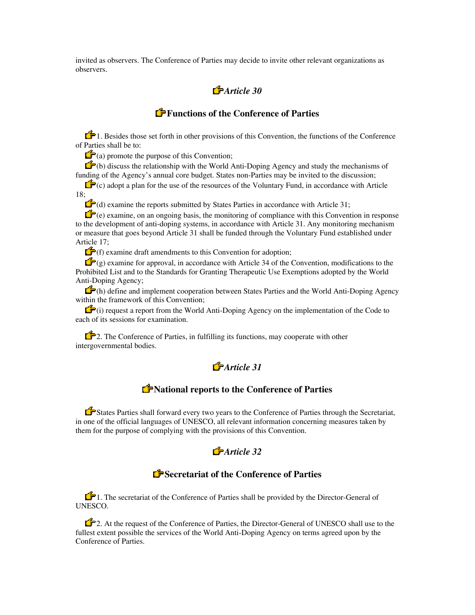invited as observers. The Conference of Parties may decide to invite other relevant organizations as observers.

*Article 30*

### **Functions of the Conference of Parties**

1. Besides those set forth in other provisions of this Convention, the functions of the Conference of Parties shall be to:

 $\mathbf{F}$ (a) promote the purpose of this Convention;

 $\mathbf{G}$  (b) discuss the relationship with the World Anti-Doping Agency and study the mechanisms of funding of the Agency's annual core budget. States non-Parties may be invited to the discussion;

 $\mathbf{C}$  (c) adopt a plan for the use of the resources of the Voluntary Fund, in accordance with Article 18;

 $\mathbf{G}^{\bullet}$  (d) examine the reports submitted by States Parties in accordance with Article 31;

 $\mathbf{F}$ (e) examine, on an ongoing basis, the monitoring of compliance with this Convention in response to the development of anti-doping systems, in accordance with Article 31. Any monitoring mechanism or measure that goes beyond Article 31 shall be funded through the Voluntary Fund established under Article 17;

 $\mathbf{F}(f)$  examine draft amendments to this Convention for adoption;

 $\mathbf{G}(\mathbf{g})$  examine for approval, in accordance with Article 34 of the Convention, modifications to the Prohibited List and to the Standards for Granting Therapeutic Use Exemptions adopted by the World Anti-Doping Agency;

 $\mathbf{G}$ (h) define and implement cooperation between States Parties and the World Anti-Doping Agency within the framework of this Convention;

 $\hat{I}$  (i) request a report from the World Anti-Doping Agency on the implementation of the Code to each of its sessions for examination.

 $\mathbb{Z}^2$  2. The Conference of Parties, in fulfilling its functions, may cooperate with other intergovernmental bodies.

# *Article 31*

## **National reports to the Conference of Parties**

States Parties shall forward every two years to the Conference of Parties through the Secretariat, in one of the official languages of UNESCO, all relevant information concerning measures taken by them for the purpose of complying with the provisions of this Convention.

# *Article 32*

### **Secretariat of the Conference of Parties**

 $\mathbf{F}$ 1. The secretariat of the Conference of Parties shall be provided by the Director-General of UNESCO.

 $\mathbb{Z}$ . At the request of the Conference of Parties, the Director-General of UNESCO shall use to the fullest extent possible the services of the World Anti-Doping Agency on terms agreed upon by the Conference of Parties.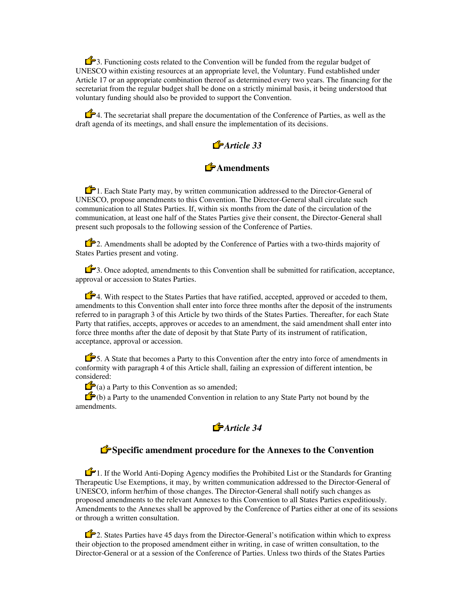$\mathbb{Z}$ 3. Functioning costs related to the Convention will be funded from the regular budget of UNESCO within existing resources at an appropriate level, the Voluntary. Fund established under Article 17 or an appropriate combination thereof as determined every two years. The financing for the secretariat from the regular budget shall be done on a strictly minimal basis, it being understood that voluntary funding should also be provided to support the Convention.

4. The secretariat shall prepare the documentation of the Conference of Parties, as well as the draft agenda of its meetings, and shall ensure the implementation of its decisions.



# **Amendments**

 $\mathbf{F}$ 1. Each State Party may, by written communication addressed to the Director-General of UNESCO, propose amendments to this Convention. The Director-General shall circulate such communication to all States Parties. If, within six months from the date of the circulation of the communication, at least one half of the States Parties give their consent, the Director-General shall present such proposals to the following session of the Conference of Parties.

 $\mathbb{Z}$  2. Amendments shall be adopted by the Conference of Parties with a two-thirds majority of States Parties present and voting.

 $\mathbf{S}$  3. Once adopted, amendments to this Convention shall be submitted for ratification, acceptance, approval or accession to States Parties.

 $\mathbb{Z}^2$ 4. With respect to the States Parties that have ratified, accepted, approved or acceded to them, amendments to this Convention shall enter into force three months after the deposit of the instruments referred to in paragraph 3 of this Article by two thirds of the States Parties. Thereafter, for each State Party that ratifies, accepts, approves or accedes to an amendment, the said amendment shall enter into force three months after the date of deposit by that State Party of its instrument of ratification, acceptance, approval or accession.

 $\mathbf{F}$ 5. A State that becomes a Party to this Convention after the entry into force of amendments in conformity with paragraph 4 of this Article shall, failing an expression of different intention, be considered:

 $\mathbf{G}$  (a) a Party to this Convention as so amended;

 $\mathbf{C}$  (b) a Party to the unamended Convention in relation to any State Party not bound by the amendments.



### **Specific amendment procedure for the Annexes to the Convention**

 $\mathbf{G}$ . If the World Anti-Doping Agency modifies the Prohibited List or the Standards for Granting Therapeutic Use Exemptions, it may, by written communication addressed to the Director-General of UNESCO, inform her/him of those changes. The Director-General shall notify such changes as proposed amendments to the relevant Annexes to this Convention to all States Parties expeditiously. Amendments to the Annexes shall be approved by the Conference of Parties either at one of its sessions or through a written consultation.

<sup>2</sup>2. States Parties have 45 days from the Director-General's notification within which to express their objection to the proposed amendment either in writing, in case of written consultation, to the Director-General or at a session of the Conference of Parties. Unless two thirds of the States Parties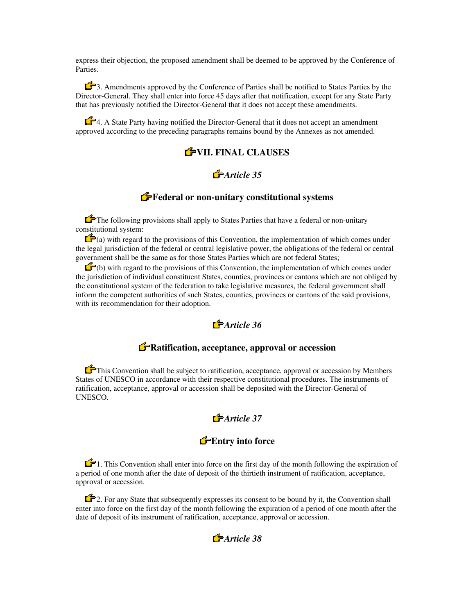express their objection, the proposed amendment shall be deemed to be approved by the Conference of Parties.

3. Amendments approved by the Conference of Parties shall be notified to States Parties by the Director-General. They shall enter into force 45 days after that notification, except for any State Party that has previously notified the Director-General that it does not accept these amendments.

 $\mathbb{F}^4$ . A State Party having notified the Director-General that it does not accept an amendment approved according to the preceding paragraphs remains bound by the Annexes as not amended.

### **VII. FINAL CLAUSES**

# *Article 35*

## **F**Federal or non-unitary constitutional systems

 $\mathbf{F}$  The following provisions shall apply to States Parties that have a federal or non-unitary constitutional system:

 $\mathbf{G}$  (a) with regard to the provisions of this Convention, the implementation of which comes under the legal jurisdiction of the federal or central legislative power, the obligations of the federal or central government shall be the same as for those States Parties which are not federal States;

 $\mathbf{G}$ (b) with regard to the provisions of this Convention, the implementation of which comes under the jurisdiction of individual constituent States, counties, provinces or cantons which are not obliged by the constitutional system of the federation to take legislative measures, the federal government shall inform the competent authorities of such States, counties, provinces or cantons of the said provisions, with its recommendation for their adoption.

# *Article 36*

# **Ratification, acceptance, approval or accession**

 $\mathbf{F}$ This Convention shall be subject to ratification, acceptance, approval or accession by Members States of UNESCO in accordance with their respective constitutional procedures. The instruments of ratification, acceptance, approval or accession shall be deposited with the Director-General of UNESCO.

# *Article 37*

## **Entry into force**

1. This Convention shall enter into force on the first day of the month following the expiration of a period of one month after the date of deposit of the thirtieth instrument of ratification, acceptance, approval or accession.

 $\mathbb{Z}$  2. For any State that subsequently expresses its consent to be bound by it, the Convention shall enter into force on the first day of the month following the expiration of a period of one month after the date of deposit of its instrument of ratification, acceptance, approval or accession.

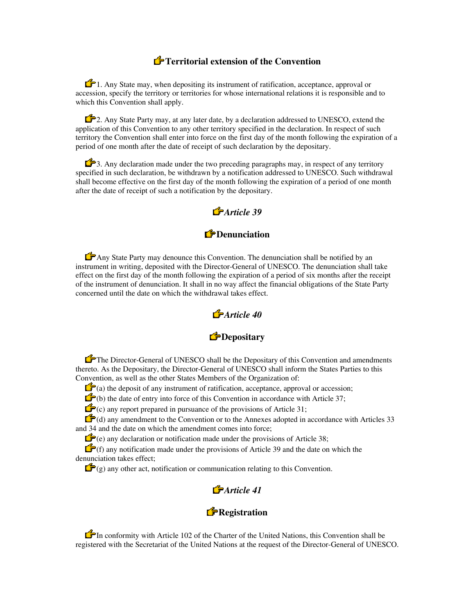# **Territorial extension of the Convention**

 $\mathbf{F}$  1. Any State may, when depositing its instrument of ratification, acceptance, approval or accession, specify the territory or territories for whose international relations it is responsible and to which this Convention shall apply.

<sup>2</sup>2. Any State Party may, at any later date, by a declaration addressed to UNESCO, extend the application of this Convention to any other territory specified in the declaration. In respect of such territory the Convention shall enter into force on the first day of the month following the expiration of a period of one month after the date of receipt of such declaration by the depositary.

 $\mathbb{S}$ 3. Any declaration made under the two preceding paragraphs may, in respect of any territory specified in such declaration, be withdrawn by a notification addressed to UNESCO. Such withdrawal shall become effective on the first day of the month following the expiration of a period of one month after the date of receipt of such a notification by the depositary.



# **Denunciation**

 $\mathbf{F}$  Any State Party may denounce this Convention. The denunciation shall be notified by an instrument in writing, deposited with the Director-General of UNESCO. The denunciation shall take effect on the first day of the month following the expiration of a period of six months after the receipt of the instrument of denunciation. It shall in no way affect the financial obligations of the State Party concerned until the date on which the withdrawal takes effect.

# *Article 40*

# **Depositary**

The Director-General of UNESCO shall be the Depositary of this Convention and amendments thereto. As the Depositary, the Director-General of UNESCO shall inform the States Parties to this Convention, as well as the other States Members of the Organization of:

 $\mathbf{F}(a)$  the deposit of any instrument of ratification, acceptance, approval or accession;

 $\mathbf{C}$  (b) the date of entry into force of this Convention in accordance with Article 37;

 $\mathbf{\hat{C}}$  (c) any report prepared in pursuance of the provisions of Article 31;

 $\mathbf{C}^{\bullet}$  (d) any amendment to the Convention or to the Annexes adopted in accordance with Articles 33 and 34 and the date on which the amendment comes into force;

 $\mathbf{F}$ (e) any declaration or notification made under the provisions of Article 38;

 $\mathbf{F}(f)$  any notification made under the provisions of Article 39 and the date on which the denunciation takes effect;

 $\mathbf{G}(\mathbf{g})$  any other act, notification or communication relating to this Convention.

# *Article 41*

# **Registration**

In conformity with Article 102 of the Charter of the United Nations, this Convention shall be registered with the Secretariat of the United Nations at the request of the Director-General of UNESCO.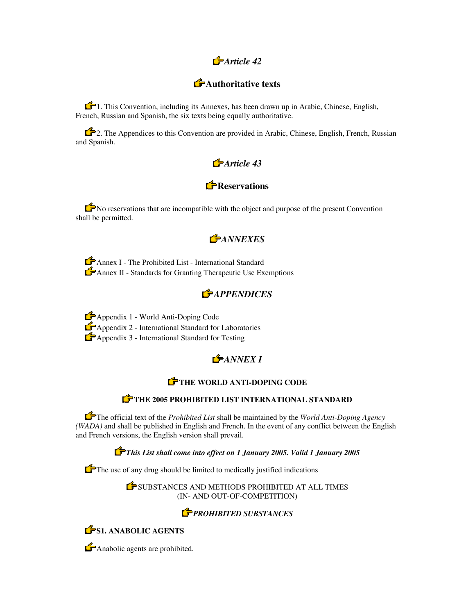*Article 42*

# **Authoritative texts**

1. This Convention, including its Annexes, has been drawn up in Arabic, Chinese, English, French, Russian and Spanish, the six texts being equally authoritative.

 $\mathbb{F}$ 2. The Appendices to this Convention are provided in Arabic, Chinese, English, French, Russian and Spanish.



# **Reservations**

 $\Box$  No reservations that are incompatible with the object and purpose of the present Convention shall be permitted.

### *ANNEXES*

Annex I - The Prohibited List - International Standard Annex II - Standards for Granting Therapeutic Use Exemptions

# *APPENDICES*

Appendix 1 - World Anti-Doping Code Appendix 2 - International Standard for Laboratories Appendix 3 - International Standard for Testing

## *ANNEX I*

## **THE WORLD ANTI-DOPING CODE**

#### **THE 2005 PROHIBITED LIST INTERNATIONAL STANDARD**

The official text of the *Prohibited List* shall be maintained by the *World Anti-Doping Agency (WADA)* and shall be published in English and French. In the event of any conflict between the English and French versions, the English version shall prevail.

*This List shall come into effect on 1 January 2005. Valid 1 January 2005*

 $\mathbf{\hat{F}}$  The use of any drug should be limited to medically justified indications

SUBSTANCES AND METHODS PROHIBITED AT ALL TIMES (IN- AND OUT-OF-COMPETITION)

#### *PROHIBITED SUBSTANCES*

S1. ANABOLIC AGENTS

Anabolic agents are prohibited.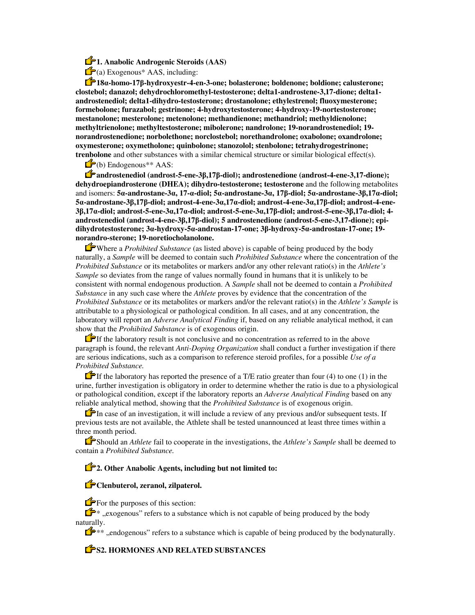**1. Anabolic Androgenic Steroids (AAS)**  $\mathbf{F}$ (a) Exogenous\* AAS, including:

**18α-homo-17β-hydroxyestr-4-en-3-one; bolasterone; boldenone; boldione; calusterone; clostebol; danazol; dehydrochloromethyl-testosterone; delta1-androstene-3,17-dione; delta1 androstenediol; delta1-dihydro-testosterone; drostanolone; ethylestrenol; fluoxymesterone; formebolone; furazabol; gestrinone; 4-hydroxytestosterone; 4-hydroxy-19-nortestosterone; mestanolone; mesterolone; metenolone; methandienone; methandriol; methyldienolone; methyltrienolone; methyltestosterone; mibolerone; nandrolone; 19-norandrostenediol; 19 norandrostenedione; norbolethone; norclostebol; norethandrolone; oxabolone; oxandrolone; oxymesterone; oxymetholone; quinbolone; stanozolol; stenbolone; tetrahydrogestrinone; trenbolone** and other substances with a similar chemical structure or similar biological effect(s).

 $\mathbf{C}^{\bullet}$ (b) Endogenous\*\* AAS:

**androstenediol (androst-5-ene-3β,17β-diol); androstenedione (androst-4-ene-3,17-dione); dehydroepiandrosterone (DHEA); dihydro-testosterone; testosterone** and the following metabolites and isomers: 5a-androstane-3a, 17-a-diol; 5a-androstane-3a, 17β-diol; 5a-androstane-3β,17a-diol; **5α-androstane-3β,17β-diol; androst-4-ene-3α,17α-diol; androst-4-ene-3α,17β-diol; androst-4-ene-3β,17α-diol; androst-5-ene-3α,17α-diol; androst-5-ene-3α,17β-diol; androst-5-ene-3β,17α-diol; 4 androstenediol (androst-4-ene-3β,17β-diol); 5 androstenedione (androst-5-ene-3,17-dione); epidihydrotestosterone; 3α-hydroxy-5α-androstan-17-one; 3β-hydroxy-5α-androstan-17-one; 19 norandro-sterone; 19-noretiocholanolone.**

Where a *Prohibited Substance* (as listed above) is capable of being produced by the body naturally, a *Sample* will be deemed to contain such *Prohibited Substance* where the concentration of the *Prohibited Substance* or its metabolites or markers and/or any other relevant ratio(s) in the *Athlete's Sample* so deviates from the range of values normally found in humans that it is unlikely to be consistent with normal endogenous production. A *Sample* shall not be deemed to contain a *Prohibited Substance* in any such case where the *Athlete* proves by evidence that the concentration of the *Prohibited Substance* or its metabolites or markers and/or the relevant ratio(s) in the *Athlete's Sample* is attributable to a physiological or pathological condition. In all cases, and at any concentration, the laboratory will report an *Adverse Analytical Finding* if, based on any reliable analytical method, it can show that the *Prohibited Substance* is of exogenous origin.

 $\mathbf{F}$  If the laboratory result is not conclusive and no concentration as referred to in the above paragraph is found, the relevant *Anti-Doping Organization* shall conduct a further investigation if there are serious indications, such as a comparison to reference steroid profiles, for a possible *Use of a Prohibited Substance.*

If the laboratory has reported the presence of a T/E ratio greater than four (4) to one (1) in the urine, further investigation is obligatory in order to determine whether the ratio is due to a physiological or pathological condition, except if the laboratory reports an *Adverse Analytical Finding* based on any reliable analytical method, showing that the *Prohibited Substance* is of exogenous origin.

 $\mathbf{F}$  In case of an investigation, it will include a review of any previous and/or subsequent tests. If previous tests are not available, the Athlete shall be tested unannounced at least three times within a three month period.

Should an *Athlete* fail to cooperate in the investigations, the *Athlete's Sample* shall be deemed to contain a *Prohibited Substance.*

**2. Other Anabolic Agents, including but not limited to:**

#### **Clenbuterol, zeranol, zilpaterol.**

 $\blacktriangleright$  For the purposes of this section:

 $\mathbb{C}^*$  ", exogenous" refers to a substance which is not capable of being produced by the body naturally.

 $\mathbb{C}^{\blacktriangleright}$ <sup>\*\*</sup> ..endogenous" refers to a substance which is capable of being produced by the bodynaturally.

**S2. HORMONES AND RELATED SUBSTANCES**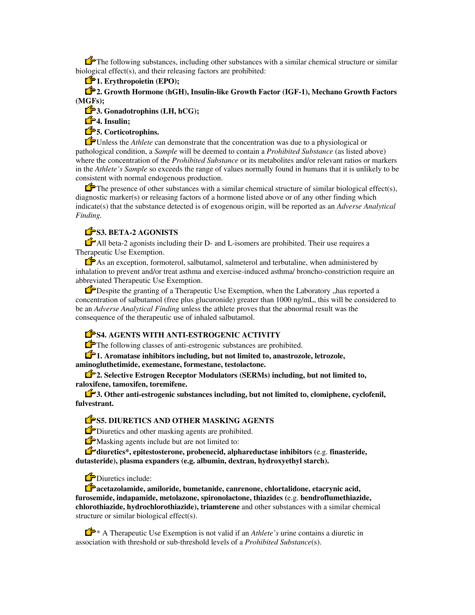The following substances, including other substances with a similar chemical structure or similar biological effect(s), and their releasing factors are prohibited:

**1. Erythropoietin (EPO);** 

**2. Growth Hormone (hGH), Insulin-like Growth Factor (IGF-1), Mechano Growth Factors (MGFs);**

 $\mathbf{5}$  3. Gonadotrophins (LH, hCG);

**4.** Insulin:

**5. Corticotrophins.**

Unless the *Athlete* can demonstrate that the concentration was due to a physiological or pathological condition, a *Sample* will be deemed to contain a *Prohibited Substance* (as listed above) where the concentration of the *Prohibited Substance* or its metabolites and/or relevant ratios or markers in the *Athlete's Sample* so exceeds the range of values normally found in humans that it is unlikely to be consistent with normal endogenous production.

The presence of other substances with a similar chemical structure of similar biological effect(s), diagnostic marker(s) or releasing factors of a hormone listed above or of any other finding which indicate(s) that the substance detected is of exogenous origin, will be reported as an *Adverse Analytical Finding.*

#### **S3. BETA-2 AGONISTS**

All beta-2 agonists including their D- and L-isomers are prohibited. Their use requires a Therapeutic Use Exemption.

 $\mathbf{F}$  As an exception, formoterol, salbutamol, salmeterol and terbutaline, when administered by inhalation to prevent and/or treat asthma and exercise-induced asthma/ broncho-constriction require an abbreviated Therapeutic Use Exemption.

 $\mathbf{\hat{P}}$  Despite the granting of a Therapeutic Use Exemption, when the Laboratory "has reported a concentration of salbutamol (free plus glucuronide) greater than 1000 ng/mL, this will be considered to be an *Adverse Analytical Finding* unless the athlete proves that the abnormal result was the consequence of the therapeutic use of inhaled salbutamol.

#### **S4. AGENTS WITH ANTI-ESTROGENIC ACTIVITY**

The following classes of anti-estrogenic substances are prohibited.

**1. Aromatase inhibitors including, but not limited to, anastrozole, letrozole,** 

**aminogluthetimide, exemestane, formestane, testolactone.**

**2.** Selective Estrogen Receptor Modulators (SERMs) including, but not limited to, **raloxifene, tamoxifen, toremifene.**

**3. Other anti-estrogenic substances including, but not limited to, clomiphene, cyclofenil, fulvestrant.**

#### **S5. DIURETICS AND OTHER MASKING AGENTS**

Diuretics and other masking agents are prohibited.

 $\mathbf{F}$  Masking agents include but are not limited to:

**diuretics\*, epitestosterone, probenecid, alphareductase inhibitors (**e.g. **finasteride, dutasteride), plasma expanders (e.g. albumin, dextran, hydroxyethyl starch).**

#### Diuretics include:

**acetazolamide, amiloride, bumetanide, canrenone, chlortalidone, etacrynic acid, furosemide, indapamide, metolazone, spironolactone, thiazides (**e.g. **bendroflumethiazide, chlorothiazide, hydrochlorothiazide), triamterene** and other substances with a similar chemical structure or similar biological effect(s).

\* A Therapeutic Use Exemption is not valid if an *Athlete's* urine contains a diuretic in association with threshold or sub-threshold levels of a *Prohibited Substance*(s).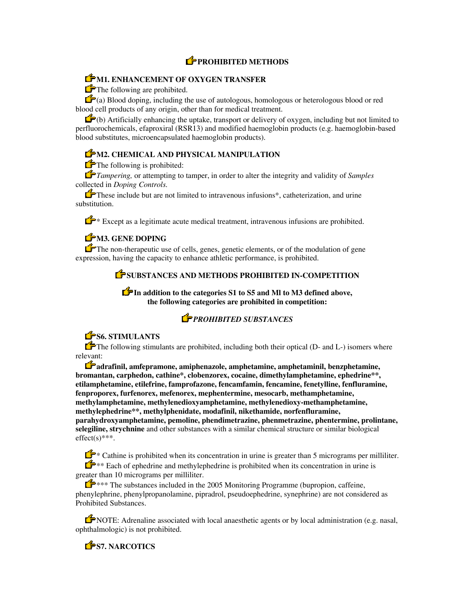

#### **M1. ENHANCEMENT OF OXYGEN TRANSFER**

The following are prohibited.

 $\mathbf{G}$  (a) Blood doping, including the use of autologous, homologous or heterologous blood or red blood cell products of any origin, other than for medical treatment.

 $\mathbf{G}$ (b) Artificially enhancing the uptake, transport or delivery of oxygen, including but not limited to perfluorochemicals, efaproxiral (RSR13) and modified haemoglobin products (e.g. haemoglobin-based blood substitutes, microencapsulated haemoglobin products).

#### **M2. CHEMICAL AND PHYSICAL MANIPULATION**

 $\mathbf{\Gamma}$  The following is prohibited:

*Tampering,* or attempting to tamper, in order to alter the integrity and validity of *Samples*  collected in *Doping Controls.*

These include but are not limited to intravenous infusions\*, catheterization, and urine substitution.

 $\mathbb{F}^*$  Except as a legitimate acute medical treatment, intravenous infusions are prohibited.

### **M3. GENE DOPING**

 $\mathbf{C}$ . The non-therapeutic use of cells, genes, genetic elements, or of the modulation of gene expression, having the capacity to enhance athletic performance, is prohibited.

#### **SUBSTANCES AND METHODS PROHIBITED IN-COMPETITION**

**In addition to the categories S1 to S5 and MI to M3 defined above, the following categories are prohibited in competition:**

## *PROHIBITED SUBSTANCES*

## **S6. STIMULANTS**

The following stimulants are prohibited, including both their optical (D- and L-) isomers where relevant:

**adrafinil, amfepramone, amiphenazole, amphetamine, amphetaminil, benzphetamine, bromantan, carphedon, cathine\*, clobenzorex, cocaine, dimethylamphetamine, ephedrine\*\*, etilamphetamine, etilefrine, famprofazone, fencamfamin, fencamine, fenetylline, fenfluramine, fenproporex, furfenorex, mefenorex, mephentermine, mesocarb, methamphetamine, methylamphetamine, methylenedioxyamphetamine, methylenedioxy-methamphetamine, methylephedrine\*\*, methylphenidate, modafinil, nikethamide, norfenfluramine, parahydroxyamphetamine, pemoline, phendimetrazine, phenmetrazine, phentermine, prolintane, selegiline, strychnine** and other substances with a similar chemical structure or similar biological  $effect(s)$ \*\*\*.

 $\mathbb{F}^*$  Cathine is prohibited when its concentration in urine is greater than 5 micrograms per milliliter.  $\mathbb{F}^{**}$  Each of ephedrine and methylephedrine is prohibited when its concentration in urine is greater than 10 micrograms per milliliter.

 $\bullet$  \*\*\* The substances included in the 2005 Monitoring Programme (bupropion, caffeine, phenylephrine, phenylpropanolamine, pipradrol, pseudoephedrine, synephrine) are not considered as Prohibited Substances.

NOTE: Adrenaline associated with local anaesthetic agents or by local administration (e.g. nasal, ophthalmologic) is not prohibited.

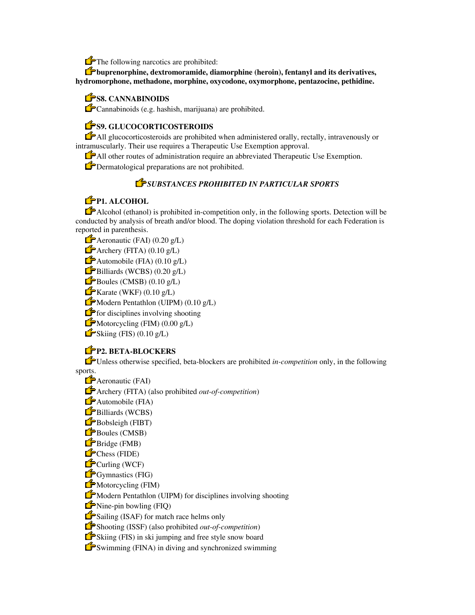The following narcotics are prohibited:

**buprenorphine, dextromoramide, diamorphine (heroin), fentanyl and its derivatives, hydromorphone, methadone, morphine, oxycodone, oxymorphone, pentazocine, pethidine.**

#### **S8. CANNABINOIDS**

Cannabinoids (e.g. hashish, marijuana) are prohibited.

#### **S9. GLUCOCORTICOSTEROIDS**

All glucocorticosteroids are prohibited when administered orally, rectally, intravenously or intramuscularly. Their use requires a Therapeutic Use Exemption approval.

All other routes of administration require an abbreviated Therapeutic Use Exemption.

Dermatological preparations are not prohibited.

### **SUBSTANCES PROHIBITED IN PARTICULAR SPORTS**

## **P1. ALCOHOL**

 $\mathbf{\hat{C}}$  Alcohol (ethanol) is prohibited in-competition only, in the following sports. Detection will be conducted by analysis of breath and/or blood. The doping violation threshold for each Federation is reported in parenthesis.

- $\bullet$  Aeronautic (FAI) (0.20 g/L)
- $\bullet$  Archery (FITA) (0.10 g/L)
- $\bullet$  Automobile (FIA) (0.10 g/L)
- $Billiards (WCBS) (0.20 g/L)$
- $\bullet$  Boules (CMSB) (0.10 g/L)
- $\mathbf{K}$  Karate (WKF) (0.10 g/L)

Modern Pentathlon (UIPM) (0.10 g/L)

 $\mathbf{\hat{F}}$  for disciplines involving shooting

 $\blacktriangleright$  Motorcycling (FIM) (0.00 g/L)

 $S$ kiing (FIS) (0.10 g/L)

### P2. BETA-BLOCKERS

Unless otherwise specified, beta-blockers are prohibited *in-competition* only, in the following sports.

*Aeronautic* (FAI) Archery (FITA) (also prohibited *out-of-competition*)  $A$ utomobile (FIA) **Billiards** (WCBS)  $B$ obsleigh (FIBT) **B**oules (CMSB)  $B$ F Bridge (FMB)  $\mathbf{\hat{C}}$  Chess (FIDE)  $\mathbf{C}$ Curling (WCF)  $G$  Gymnastics (FIG)  $\mathbf{\mathcal{F}}$  Motorcycling (FIM) Modern Pentathlon (UIPM) for disciplines involving shooting  $\bullet$  Nine-pin bowling (FIQ)  $\mathbf{\mathcal{F}}$  Sailing (ISAF) for match race helms only Shooting (ISSF) (also prohibited *out-of-competition*)  $\mathcal{F}$  Skiing (FIS) in ski jumping and free style snow board  $\mathbf{S}$  Swimming (FINA) in diving and synchronized swimming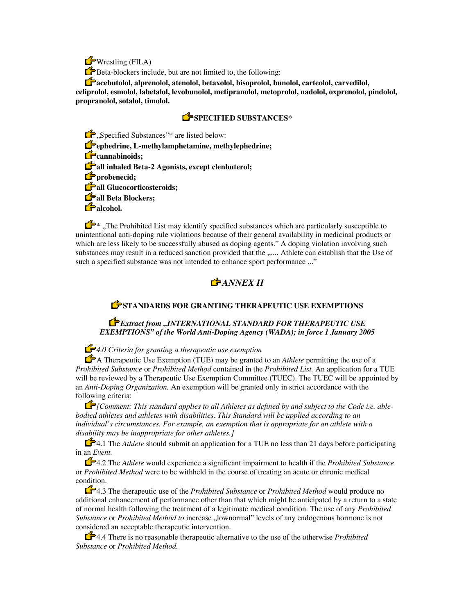$\blacktriangleright$  Wrestling (FILA)

 $\mathbf{B}$  Beta-blockers include, but are not limited to, the following:

*z* acebutolol, alprenolol, atenolol, betaxolol, bisoprolol, bunolol, carteolol, carvedilol, **celiprolol, esmolol, labetalol, levobunolol, metipranolol, metoprolol, nadolol, oxprenolol, pindolol, propranolol, sotalol, timolol.**

### **SPECIFIED SUBSTANCES\***

 $\bullet$ , Specified Substances"\* are listed below: **ephedrine, L-methylamphetamine, methylephedrine; cc**annabinoids: *<u></u>* **all inhaled Beta-2 Agonists, except clenbuterol;** *<u>P</u>* probenecid; *<u>F</u>* all Glucocorticosteroids; **all Beta Blockers; Let** alcohol.

 $\mathbb{F}^*$ . The Prohibited List may identify specified substances which are particularly susceptible to unintentional anti-doping rule violations because of their general availability in medicinal products or which are less likely to be successfully abused as doping agents." A doping violation involving such substances may result in a reduced sanction provided that the ...... Athlete can establish that the Use of such a specified substance was not intended to enhance sport performance ..."

*ANNEX II*

### **STANDARDS FOR GRANTING THERAPEUTIC USE EXEMPTIONS**

*Extract from "INTERNATIONAL STANDARD FOR THERAPEUTIC USE EXEMPTIONS" of the World Anti-Doping Agency (WADA); in force 1 January 2005*

*4.0 Criteria for granting a therapeutic use exemption*

A Therapeutic Use Exemption (TUE) may be granted to an *Athlete* permitting the use of a *Prohibited Substance* or *Prohibited Method* contained in the *Prohibited List.* An application for a TUE will be reviewed by a Therapeutic Use Exemption Committee (TUEC). The TUEC will be appointed by an *Anti-Doping Organization.* An exemption will be granted only in strict accordance with the following criteria:

*[ferrel]* [Comment: This standard applies to all Athletes as defined by and subject to the Code i.e. able*bodied athletes and athletes with disabilities. This Standard will be applied according to an individual's circumstances. For example, an exemption that is appropriate for an athlete with a disability may be inappropriate for other athletes.]*

 $\mathbb{Z}$  4.1 The *Athlete* should submit an application for a TUE no less than 21 days before participating in an *Event.*

4.2 The *Athlete* would experience a significant impairment to health if the *Prohibited Substance*  or *Prohibited Method* were to be withheld in the course of treating an acute or chronic medical condition.

4.3 The therapeutic use of the *Prohibited Substance* or *Prohibited Method* would produce no additional enhancement of performance other than that which might be anticipated by a return to a state of normal health following the treatment of a legitimate medical condition. The use of any *Prohibited Substance* or *Prohibited Method to* increase "lownormal" levels of any endogenous hormone is not considered an acceptable therapeutic intervention.

4.4 There is no reasonable therapeutic alternative to the use of the otherwise *Prohibited Substance* or *Prohibited Method.*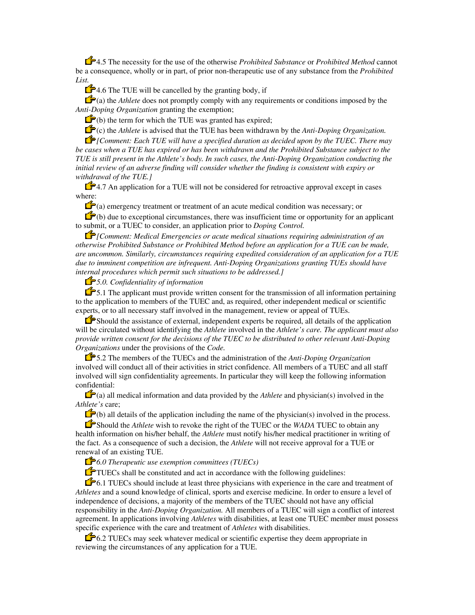4.5 The necessity for the use of the otherwise *Prohibited Substance* or *Prohibited Method* cannot be a consequence, wholly or in part, of prior non-therapeutic use of any substance from the *Prohibited List.*

 $\blacktriangleright$  4.6 The TUE will be cancelled by the granting body, if

 $\mathbf{F}(a)$  the *Athlete* does not promptly comply with any requirements or conditions imposed by the *Anti-Doping Organization* granting the exemption;

 $\mathbf{F}$ (b) the term for which the TUE was granted has expired;

(c) the *Athlete* is advised that the TUE has been withdrawn by the *Anti-Doping Organization.*

*[Comment: Each TUE will have a specified duration as decided upon by the TUEC. There may be cases when a TUE has expired or has been withdrawn and the Prohibited Substance subject to the TUE is still present in the Athlete's body. In such cases, the Anti-Doping Organization conducting the initial review of an adverse finding will consider whether the finding is consistent with expiry or withdrawal of the TUE.]*

 $\mathbf{F}$ 4.7 An application for a TUE will not be considered for retroactive approval except in cases where:

 $\hat{F}(a)$  emergency treatment or treatment of an acute medical condition was necessary; or

 $\mathbf{C}$  (b) due to exceptional circumstances, there was insufficient time or opportunity for an applicant to submit, or a TUEC to consider, an application prior to *Doping Control.*

*[Comment: Medical Emergencies or acute medical situations requiring administration of an otherwise Prohibited Substance or Prohibited Method before an application for a TUE can be made, are uncommon. Similarly, circumstances requiring expedited consideration of an application for a TUE due to imminent competition are infrequent. Anti-Doping Organizations granting TUEs should have internal procedures which permit such situations to be addressed.]*

*5.0. Confidentiality of information*

 $\hat{F}$  5.1 The applicant must provide written consent for the transmission of all information pertaining to the application to members of the TUEC and, as required, other independent medical or scientific experts, or to all necessary staff involved in the management, review or appeal of TUEs.

 $\mathbb{S}$  Should the assistance of external, independent experts be required, all details of the application will be circulated without identifying the *Athlete* involved in the *Athlete's care. The applicant must also provide written consent for the decisions of the TUEC to be distributed to other relevant Anti-Doping Organizations* under the provisions of the *Code.*

5.2 The members of the TUECs and the administration of the *Anti-Doping Organization*  involved will conduct all of their activities in strict confidence. All members of a TUEC and all staff involved will sign confidentiality agreements. In particular they will keep the following information confidential:

(a) all medical information and data provided by the *Athlete* and physician(s) involved in the *Athlete's* care;

 $\mathbf{F}$ (b) all details of the application including the name of the physician(s) involved in the process.

Should the *Athlete* wish to revoke the right of the TUEC or the *WADA* TUEC to obtain any health information on his/her behalf, the *Athlete* must notify his/her medical practitioner in writing of the fact. As a consequence of such a decision, the *Athlete* will not receive approval for a TUE or renewal of an existing TUE.

*6.0 Therapeutic use exemption committees (TUECs)*

 $\mathbf{\hat{F}}$  TUECs shall be constituted and act in accordance with the following guidelines:

 $\ddot{\phantom{a}}$ 6.1 TUECs should include at least three physicians with experience in the care and treatment of *Athletes* and a sound knowledge of clinical, sports and exercise medicine. In order to ensure a level of independence of decisions, a majority of the members of the TUEC should not have any official responsibility in the *Anti-Doping Organization.* All members of a TUEC will sign a conflict of interest agreement. In applications involving *Athletes* with disabilities, at least one TUEC member must possess specific experience with the care and treatment of *Athletes* with disabilities.

 $\mathbf{C}$  6.2 TUECs may seek whatever medical or scientific expertise they deem appropriate in reviewing the circumstances of any application for a TUE.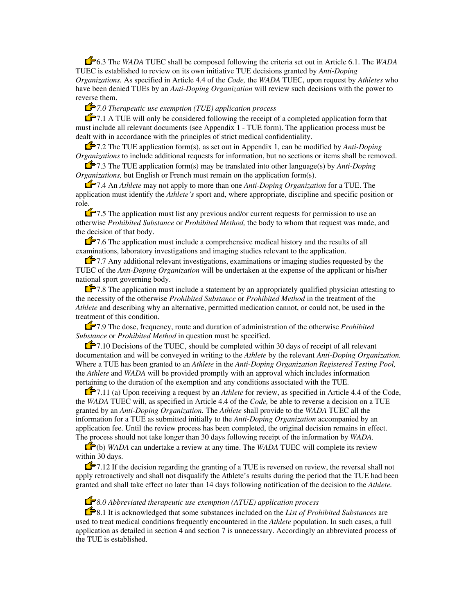6.3 The *WADA* TUEC shall be composed following the criteria set out in Article 6.1. The *WADA*  TUEC is established to review on its own initiative TUE decisions granted by *Anti-Doping Organizations.* As specified in Article 4.4 of the *Code,* the *WADA* TUEC, upon request by *Athletes* who have been denied TUEs by an *Anti-Doping Organization* will review such decisions with the power to reverse them.

#### *7.0 Therapeutic use exemption (TUE) application process*

 $\mathbb{F}$ 7.1 A TUE will only be considered following the receipt of a completed application form that must include all relevant documents (see Appendix 1 - TUE form). The application process must be dealt with in accordance with the principles of strict medical confidentiality.

7.2 The TUE application form(s), as set out in Appendix 1, can be modified by *Anti-Doping Organizations* to include additional requests for information, but no sections or items shall be removed.

7.3 The TUE application form(s) may be translated into other language(s) by *Anti-Doping Organizations,* but English or French must remain on the application form(s).

7.4 An *Athlete* may not apply to more than one *Anti-Doping Organization* for a TUE. The application must identify the *Athlete's* sport and, where appropriate, discipline and specific position or role.

7.5 The application must list any previous and/or current requests for permission to use an otherwise *Prohibited Substance* or *Prohibited Method,* the body to whom that request was made, and the decision of that body.

 $\mathbb{F}$ 7.6 The application must include a comprehensive medical history and the results of all examinations, laboratory investigations and imaging studies relevant to the application.

 $\mathbf{G}$ 7.7 Any additional relevant investigations, examinations or imaging studies requested by the TUEC of the *Anti-Doping Organization* will be undertaken at the expense of the applicant or his/her national sport governing body.

 $\mathbb{F}$ 7.8 The application must include a statement by an appropriately qualified physician attesting to the necessity of the otherwise *Prohibited Substance* or *Prohibited Method* in the treatment of the *Athlete* and describing why an alternative, permitted medication cannot, or could not, be used in the treatment of this condition.

7.9 The dose, frequency, route and duration of administration of the otherwise *Prohibited Substance* or *Prohibited Method* in question must be specified.

 $\mathbb{Z}$  7.10 Decisions of the TUEC, should be completed within 30 days of receipt of all relevant documentation and will be conveyed in writing to the *Athlete* by the relevant *Anti-Doping Organization.*  Where a TUE has been granted to an *Athlete* in the *Anti-Doping Organization Registered Testing Pool,*  the *Athlete* and *WADA* will be provided promptly with an approval which includes information pertaining to the duration of the exemption and any conditions associated with the TUE.

7.11 (a) Upon receiving a request by an *Athlete* for review, as specified in Article 4.4 of the Code, the *WADA* TUEC will, as specified in Article 4.4 of the *Code,* be able to reverse a decision on a TUE granted by an *Anti-Doping Organization.* The *Athlete* shall provide to the *WADA* TUEC all the information for a TUE as submitted initially to the *Anti-Doping Organization* accompanied by an application fee. Until the review process has been completed, the original decision remains in effect. The process should not take longer than 30 days following receipt of the information by *WADA.*

(b) *WADA* can undertake a review at any time. The *WADA* TUEC will complete its review within 30 days.

 $\mathbb{Z}$ 7.12 If the decision regarding the granting of a TUE is reversed on review, the reversal shall not apply retroactively and shall not disqualify the *A*thlete's results during the period that the TUE had been granted and shall take effect no later than 14 days following notification of the decision to the *Athlete.*

*8.0 Abbreviated therapeutic use exemption (ATUE) application process*

8.1 It is acknowledged that some substances included on the *List of Prohibited Substances* are used to treat medical conditions frequently encountered in the *Athlete* population. In such cases, a full application as detailed in section 4 and section 7 is unnecessary. Accordingly an abbreviated process of the TUE is established.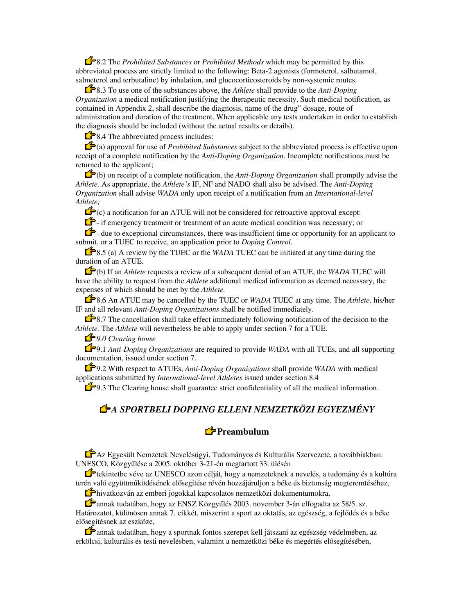8.2 The *Prohibited Substances* or *Prohibited Methods* which may be permitted by this abbreviated process are strictly limited to the following: Beta-2 agonists (formoterol, salbutamol, salmeterol and terbutaline) by inhalation, and glucocorticosteroids by non-systemic routes.

8.3 To use one of the substances above, the *Athlete* shall provide to the *Anti-Doping Organization* a medical notification justifying the therapeutic necessity. Such medical notification, as contained in Appendix 2, shall describe the diagnosis, name of the drug" dosage, route of administration and duration of the treatment. When applicable any tests undertaken in order to establish the diagnosis should be included (without the actual results or details).

 $\mathcal{F}$ 8.4 The abbreviated process includes:

(a) approval for use of *Prohibited Substances* subject to the abbreviated process is effective upon receipt of a complete notification by the *Anti-Doping Organization.* Incomplete notifications must be returned to the applicant;

(b) on receipt of a complete notification, the *Anti-Doping Organization* shall promptly advise the *Athlete.* As appropriate, the *Athlete's* IF, NF and NADO shall also be advised. The *Anti-Doping Organization* shall advise *WADA* only upon receipt of a notification from an *International-level Athlete;*

 $\mathbf{C}$  (c) a notification for an ATUE will not be considered for retroactive approval except:

 $\mathbf{F}$  - if emergency treatment or treatment of an acute medical condition was necessary; or

 $\mathbf{C}$ - due to exceptional circumstances, there was insufficient time or opportunity for an applicant to submit, or a TUEC to receive, an application prior to *Doping Control.*

8.5 (a) A review by the TUEC or the *WADA* TUEC can be initiated at any time during the duration of an ATUE.

(b) If an *Athlete* requests a review of a subsequent denial of an ATUE, the *WADA* TUEC will have the ability to request from the *Athlete* additional medical information as deemed necessary, the expenses of which should be met by the *Athlete.*

8.6 An ATUE may be cancelled by the TUEC or *WADA* TUEC at any time. The *Athlete,* his/her IF and all relevant *Anti-Doping Organizations* shall be notified immediately.

 $\mathbb{S}$ 8.7 The cancellation shall take effect immediately following notification of the decision to the *Athlete.* The *Athlete* will nevertheless be able to apply under section 7 for a TUE.

*9.0 Clearing house*

9.1 *Anti-Doping Organizations* are required to provide *WADA* with all TUEs, and all supporting documentation, issued under section 7.

9.2 With respect to ATUEs, *Anti-Doping Organizations* shall provide *WADA* with medical applications submitted by *International-level Athletes* issued under section 8.4

 $\ddot{\blacktriangleright}$ 9.3 The Clearing house shall guarantee strict confidentiality of all the medical information.

## *A SPORTBELI DOPPING ELLENI NEMZETKÖZI EGYEZMÉNY*

#### **Preambulum**

Az Egyesült Nemzetek Nevelésügyi, Tudományos és Kulturális Szervezete, a továbbiakban: UNESCO, Közgyűlése a 2005. október 3-21-én megtartott 33. ülésén

tekintetbe véve az UNESCO azon célját, hogy a nemzeteknek a nevelés, a tudomány és a kultúra terén való együttműködésének elősegítése révén hozzájáruljon a béke és biztonság megteremtéséhez,

hivatkozván az emberi jogokkal kapcsolatos nemzetközi dokumentumokra,

annak tudatában, hogy az ENSZ Közgyűlés 2003. november 3-án elfogadta az 58/5. sz. Határozatot, különösen annak 7. cikkét, miszerint a sport az oktatás, az egészség, a fejlődés és a béke elősegítésnek az eszköze,

annak tudatában, hogy a sportnak fontos szerepet kell játszani az egészség védelmében, az erkölcsi, kulturális és testi nevelésben, valamint a nemzetközi béke és megértés elősegítésében,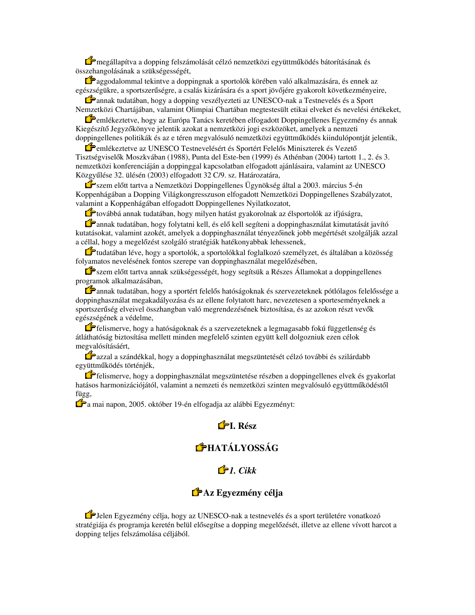megállapítva a dopping felszámolását célzó nemzetközi együttműködés bátorításának és összehangolásának a szükségességét,

aggodalommal tekintve a doppingnak a sportolók körében való alkalmazására, és ennek az egészségükre, a sportszerűségre, a csalás kizárására és a sport jövőjére gyakorolt következményeire,

annak tudatában, hogy a dopping veszélyezteti az UNESCO-nak a Testnevelés és a Sport Nemzetközi Chartájában, valamint Olimpiai Chartában megtestesült etikai elveket és nevelési értékeket,

 $\mathbf{F}$ emlékeztetve, hogy az Európa Tanács keretében elfogadott Doppingellenes Egyezmény és annak Kiegészítő Jegyzőkönyve jelentik azokat a nemzetközi jogi eszközöket, amelyek a nemzeti doppingellenes politikák és az e téren megvalósuló nemzetközi együttműködés kiindulópontját jelentik,

 $\mathbf{\hat{F}}$ emlékeztetve az UNESCO Testnevelésért és Sportért Felelős Miniszterek és Vezető Tisztségviselők Moszkvában (1988), Punta del Este-ben (1999) és Athénban (2004) tartott 1., 2. és 3. nemzetközi konferenciáján a doppinggal kapcsolatban elfogadott ajánlásaira, valamint az UNESCO Közgyűlése 32. ülésén (2003) elfogadott 32 C/9. sz. Határozatára,

szem előtt tartva a Nemzetközi Doppingellenes Ügynökség által a 2003. március 5-én Koppenhágában a Dopping Világkongresszuson elfogadott Nemzetközi Doppingellenes Szabályzatot, valamint a Koppenhágában elfogadott Doppingellenes Nyilatkozatot,

továbbá annak tudatában, hogy milyen hatást gyakorolnak az élsportolók az ifjúságra,

 $\mathbf{G}$ annak tudatában, hogy folytatni kell, és elő kell segíteni a doppinghasználat kimutatását javító kutatásokat, valamint azokét, amelyek a doppinghasználat tényezőinek jobb megértését szolgálják azzal a céllal, hogy a megelőzést szolgáló stratégiák hatékonyabbak lehessenek,

tudatában léve, hogy a sportolók, a sportolókkal foglalkozó személyzet, és általában a közösség folyamatos nevelésének fontos szerepe van doppinghasználat megelőzésében,

 $\mathbb{S}$ szem előtt tartva annak szükségességét, hogy segítsük a Részes Államokat a doppingellenes programok alkalmazásában,

**É** annak tudatában, hogy a sportért felelős hatóságoknak és szervezeteknek pótlólagos felelőssége a doppinghasználat megakadályozása és az ellene folytatott harc, nevezetesen a sporteseményeknek a sportszerűség elveivel összhangban való megrendezésének biztosítása, és az azokon részt vevők egészségének a védelme,

felismerve, hogy a hatóságoknak és a szervezeteknek a legmagasabb fokú függetlenség és átláthatóság biztosítása mellett minden megfelelő szinten együtt kell dolgozniuk ezen célok megvalósításáért,

azzal a szándékkal, hogy a doppinghasználat megszüntetését célzó további és szilárdabb együttműködés történjék,

felismerve, hogy a doppinghasználat megszüntetése részben a doppingellenes elvek és gyakorlat hatásos harmonizációjától, valamint a nemzeti és nemzetközi szinten megvalósuló együttműködéstől függ,

a mai napon, 2005. október 19-én elfogadja az alábbi Egyezményt:

## **I. Rész**

# **HATÁLYOSSÁG**

### *1. Cikk*

# **Az Egyezmény célja**

 $\mathbf{F}$ Jelen Egyezmény célja, hogy az UNESCO-nak a testnevelés és a sport területére vonatkozó stratégiája és programja keretén belül elősegítse a dopping megelőzését, illetve az ellene vívott harcot a dopping teljes felszámolása céljából.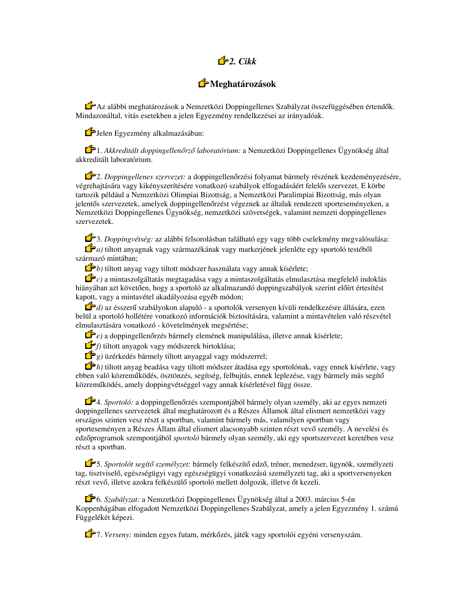# *2. Cikk*

# **Meghatározások**

**L**Az alábbi meghatározások a Nemzetközi Doppingellenes Szabályzat összefüggésében értendők. Mindazonáltal, vitás esetekben a jelen Egyezmény rendelkezései az irányadóak.

**J**elen Egyezmény alkalmazásában:

1. *Akkreditált doppingellenőrző laboratórium:* a Nemzetközi Doppingellenes Ügynökség által akkreditált laboratórium.

2. *Doppingellenes szervezet:* a doppingellenőrzési folyamat bármely részének kezdeményezésére, végrehajtására vagy kikényszerítésére vonatkozó szabályok elfogadásáért felelős szervezet. E körbe tartozik például a Nemzetközi Olimpiai Bizottság, a Nemzetközi Paralimpiai Bizottság, más olyan jelentős szervezetek, amelyek doppingellenőrzést végeznek az általuk rendezett sporteseményeken, a Nemzetközi Doppingellenes Ügynökség, nemzetközi szövetségek, valamint nemzeti doppingellenes szervezetek.

3. *Doppingvétség:* az alábbi felsorolásban található egy vagy több cselekmény megvalósulása:  $\mathbf{F}_a$ ) tiltott anyagnak vagy származékának vagy markerjének jelenléte egy sportoló testéből származó mintában;

 $\mathbf{F}_b$ ) tiltott anyag vagy tiltott módszer használata vagy annak kísérlete;

*c*) a mintaszolgáltatás megtagadása vagy a mintaszolgáltatás elmulasztása megfelelő indoklás hiányában azt követően, hogy a sportoló az alkalmazandó doppingszabályok szerint előírt értesítést kapott, vagy a mintavétel akadályozása egyéb módon;

**d**) az ésszerű szabályokon alapuló - a sportolók versenyen kívüli rendelkezésre állására, ezen belül a sportoló hollétére vonatkozó információk biztosítására, valamint a mintavételen való részvétel elmulasztására vonatkozó - követelmények megsértése;

 $\mathbf{F}_e$ ) a doppingellenőrzés bármely elemének manipulálása, illetve annak kísérlete;

*f* $f$ ) tiltott anyagok vagy módszerek birtoklása;

 $\mathbf{F}_g$ ) üzérkedés bármely tiltott anyaggal vagy módszerrel;

**h**) tiltott anyag beadása vagy tiltott módszer átadása egy sportolónak, vagy ennek kísérlete, vagy ebben való közreműködés, ösztönzés, segítség, felbujtás, ennek leplezése, vagy bármely más segítő közreműködés, amely doppingvétséggel vagy annak kísérletével függ össze.

4. *Sportoló:* a doppingellenőrzés szempontjából bármely olyan személy, aki az egyes nemzeti doppingellenes szervezetek által meghatározott és a Részes Államok által elismert nemzetközi vagy országos szinten vesz részt a sportban, valamint bármely más, valamilyen sportban vagy sporteseményen a Részes Állam által elismert alacsonyabb szinten részt vevő személy. A nevelési és edzőprogramok szempontjából *sportoló* bármely olyan személy, aki egy sportszervezet keretében vesz részt a sportban.

5. *Sportolót segítő személyzet:* bármely felkészítő edző, tréner, menedzser, ügynök, személyzeti tag, tisztviselő, egészségügyi vagy egészségügyi vonatkozású személyzeti tag, aki a sportversenyeken részt vevő, illetve azokra felkészülő sportoló mellett dolgozik, illetve őt kezeli.

6. *Szabályzat:* a Nemzetközi Doppingellenes Ügynökség által a 2003. március 5-én Koppenhágában elfogadott Nemzetközi Doppingellenes Szabályzat, amely a jelen Egyezmény 1. számú Függelékét képezi.

7. *Verseny:* minden egyes futam, mérkőzés, játék vagy sportolói egyéni versenyszám.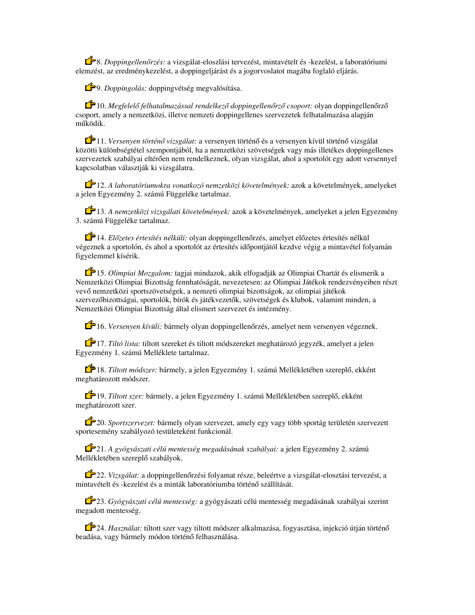8. *Doppingellenőrzés:* a vizsgálat-eloszlási tervezést, mintavételt és -kezelést, a laboratóriumi elemzést, az eredménykezelést, a doppingeljárást és a jogorvoslatot magába foglaló eljárás.

9. *Doppingolás:* doppingvétség megvalósítása.

10. *Megfelelő felhatalmazással rendelkező doppingellenőrző csoport:* olyan doppingellenőrző csoport, amely a nemzetközi, illetve nemzeti doppingellenes szervezetek felhatalmazása alapján működik.

11. *Versenyen történő vizsgálat:* a versenyen történő és a versenyen kívül történő vizsgálat közötti különbségtétel szempontjából, ha a nemzetközi szövetségek vagy más illetékes doppingellenes szervezetek szabályai eltérően nem rendelkeznek, olyan vizsgálat, ahol a sportolót egy adott versennyel kapcsolatban választják ki vizsgálatra.

12. *A laboratóriumokra vonatkozó nemzetközi követelmények:* azok a követelmények, amelyeket a jelen Egyezmény 2. számú Függeléke tartalmaz.

13. *A nemzetközi vizsgálati követelmények:* azok a követelmények, amelyeket a jelen Egyezmény 3. számú Függeléke tartalmaz.

14. *Előzetes értesítés nélküli:* olyan doppingellenőrzés, amelyet előzetes értesítés nélkül végeznek a sportolón, és ahol a sportolót az értesítés időpontjától kezdve végig a mintavétel folyamán figyelemmel kísérik.

15. *Olimpiai Mozgalom:* tagjai mindazok, akik elfogadják az Olimpiai Chartát és elismerik a Nemzetközi Olimpiai Bizottság fennhatóságát, nevezetesen: az Olimpiai Játékok rendezvényeiben részt vevő nemzetközi sportszövetségek, a nemzeti olimpiai bizottságok, az olimpiai játékok szervezőbizottságai, sportolók, bírók és játékvezetők, szövetségek és klubok, valamint minden, a Nemzetközi Olimpiai Bizottság által elismert szervezet és intézmény.

16. *Versenyen kívüli:* bármely olyan doppingellenőrzés, amelyet nem versenyen végeznek.

17. *Tiltó lista:* tiltott szereket és tiltott módszereket meghatározó jegyzék, amelyet a jelen Egyezmény 1. számú Melléklete tartalmaz.

18. *Tiltott módszer:* bármely, a jelen Egyezmény 1. számú Mellékletében szereplő, ekként meghatározott módszer.

19. *Tiltott szer:* bármely, a jelen Egyezmény 1. számú Mellékletében szereplő, ekként meghatározott szer.

20. *Sportszervezet:* bármely olyan szervezet, amely egy vagy több sportág területén szervezett sportesemény szabályozó testületeként funkcionál.

21. *A gyógyászati célú mentesség megadásának szabályai:* a jelen Egyezmény 2. számú Mellékletében szereplő szabályok.

22. *Vizsgálat:* a doppingellenőrzési folyamat része, beleértve a vizsgálat-elosztási tervezést, a mintavételt és -kezelést és a minták laboratóriumba történő szállítását.

23. *Gyógyászati célú mentesség:* a gyógyászati célú mentesség megadásának szabályai szerint megadott mentesség.

24. *Használat:* tiltott szer vagy tiltott módszer alkalmazása, fogyasztása, injekció útján történő beadása, vagy bármely módon történő felhasználása.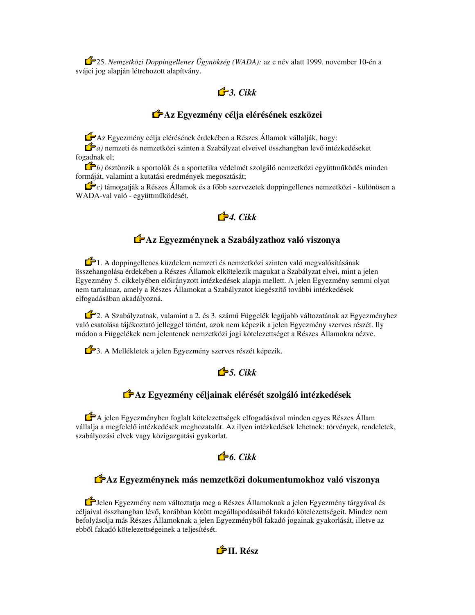25. *Nemzetközi Doppingellenes Ügynökség (WADA):* az e név alatt 1999. november 10-én a svájci jog alapján létrehozott alapítvány.

# *3. Cikk*

## **Az Egyezmény célja elérésének eszközei**

Az Egyezmény célja elérésének érdekében a Részes Államok vállalják, hogy:

 $\mathbf{F}_a$ ) nemzeti és nemzetközi szinten a Szabályzat elveivel összhangban levő intézkedéseket fogadnak el;

**b**) ösztönzik a sportolók és a sportetika védelmét szolgáló nemzetközi együttműködés minden formáját, valamint a kutatási eredmények megosztását;

*f* $\epsilon$ ) támogatják a Részes Államok és a főbb szervezetek doppingellenes nemzetközi - különösen a WADA-val való - együttműködését.

# *4. Cikk*

### **Az Egyezménynek a Szabályzathoz való viszonya**

1. A doppingellenes küzdelem nemzeti és nemzetközi szinten való megvalósításának összehangolása érdekében a Részes Államok elkötelezik magukat a Szabályzat elvei, mint a jelen Egyezmény 5. cikkelyében előirányzott intézkedések alapja mellett. A jelen Egyezmény semmi olyat nem tartalmaz, amely a Részes Államokat a Szabályzatot kiegészítő további intézkedések elfogadásában akadályozná.

 $\mathbb{Z}$  2. A Szabályzatnak, valamint a 2. és 3. számú Függelék legújabb változatának az Egyezményhez való csatolása tájékoztató jelleggel történt, azok nem képezik a jelen Egyezmény szerves részét. Ily módon a Függelékek nem jelentenek nemzetközi jogi kötelezettséget a Részes Államokra nézve.

3. A Mellékletek a jelen Egyezmény szerves részét képezik.

# *5. Cikk*

# **Az Egyezmény céljainak elérését szolgáló intézkedések**

A jelen Egyezményben foglalt kötelezettségek elfogadásával minden egyes Részes Állam vállalja a megfelelő intézkedések meghozatalát. Az ilyen intézkedések lehetnek: törvények, rendeletek, szabályozási elvek vagy közigazgatási gyakorlat.

# *6. Cikk*

#### **Az Egyezménynek más nemzetközi dokumentumokhoz való viszonya**

Jelen Egyezmény nem változtatja meg a Részes Államoknak a jelen Egyezmény tárgyával és céljaival összhangban lévő, korábban kötött megállapodásaiból fakadó kötelezettségeit. Mindez nem befolyásolja más Részes Államoknak a jelen Egyezményből fakadó jogainak gyakorlását, illetve az ebből fakadó kötelezettségeinek a teljesítését.

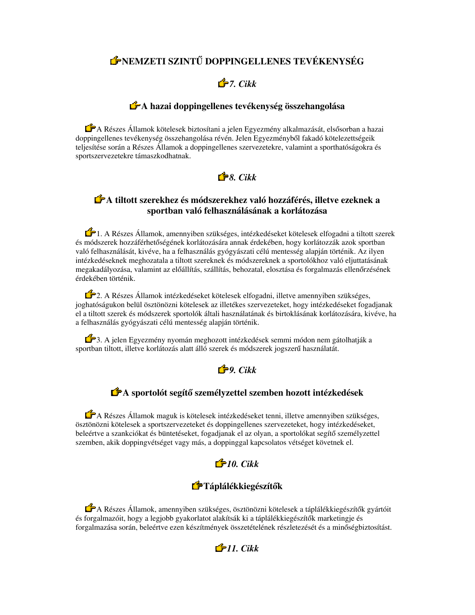# **NEMZETI SZINTŰ DOPPINGELLENES TEVÉKENYSÉG**

# *7. Cikk*

# **A hazai doppingellenes tevékenység összehangolása**

A Részes Államok kötelesek biztosítani a jelen Egyezmény alkalmazását, elsősorban a hazai doppingellenes tevékenység összehangolása révén. Jelen Egyezményből fakadó kötelezettségeik teljesítése során a Részes Államok a doppingellenes szervezetekre, valamint a sporthatóságokra és sportszervezetekre támaszkodhatnak.

# *8. Cikk*

### **A tiltott szerekhez és módszerekhez való hozzáférés, illetve ezeknek a sportban való felhasználásának a korlátozása**

1. A Részes Államok, amennyiben szükséges, intézkedéseket kötelesek elfogadni a tiltott szerek és módszerek hozzáférhetőségének korlátozására annak érdekében, hogy korlátozzák azok sportban való felhasználását, kivéve, ha a felhasználás gyógyászati célú mentesség alapján történik. Az ilyen intézkedéseknek meghozatala a tiltott szereknek és módszereknek a sportolókhoz való eljuttatásának megakadályozása, valamint az előállítás, szállítás, behozatal, elosztása és forgalmazás ellenőrzésének érdekében történik.

2. A Részes Államok intézkedéseket kötelesek elfogadni, illetve amennyiben szükséges, joghatóságukon belül ösztönözni kötelesek az illetékes szervezeteket, hogy intézkedéseket fogadjanak el a tiltott szerek és módszerek sportolók általi használatának és birtoklásának korlátozására, kivéve, ha a felhasználás gyógyászati célú mentesség alapján történik.

3. A jelen Egyezmény nyomán meghozott intézkedések semmi módon nem gátolhatják a sportban tiltott, illetve korlátozás alatt álló szerek és módszerek jogszerű használatát.

## *9. Cikk*

## **A sportolót segítő személyzettel szemben hozott intézkedések**

A Részes Államok maguk is kötelesek intézkedéseket tenni, illetve amennyiben szükséges, ösztönözni kötelesek a sportszervezeteket és doppingellenes szervezeteket, hogy intézkedéseket, beleértve a szankciókat és büntetéseket, fogadjanak el az olyan, a sportolókat segítő személyzettel szemben, akik doppingvétséget vagy más, a doppinggal kapcsolatos vétséget követnek el.

# *10. Cikk*

# **Táplálékkiegészítők**

A Részes Államok, amennyiben szükséges, ösztönözni kötelesek a táplálékkiegészítők gyártóit és forgalmazóit, hogy a legjobb gyakorlatot alakítsák ki a táplálékkiegészítők marketingje és forgalmazása során, beleértve ezen készítmények összetételének részletezését és a minőségbiztosítást.

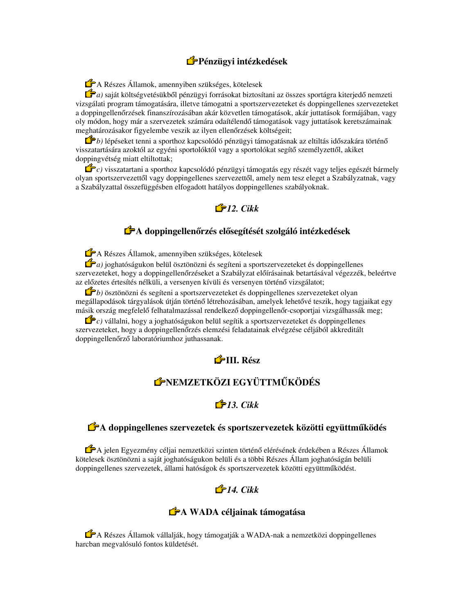

A Részes Államok, amennyiben szükséges, kötelesek  $\mathbf{F}_a$ ) saját költségvetésükből pénzügyi forrásokat biztosítani az összes sportágra kiterjedő nemzeti vizsgálati program támogatására, illetve támogatni a sportszervezeteket és doppingellenes szervezeteket a doppingellenőrzések finanszírozásában akár közvetlen támogatások, akár juttatások formájában, vagy oly módon, hogy már a szervezetek számára odaítélendő támogatások vagy juttatások keretszámainak meghatározásakor figyelembe veszik az ilyen ellenőrzések költségeit;

*b)* lépéseket tenni a sporthoz kapcsolódó pénzügyi támogatásnak az eltiltás időszakára történő visszatartására azoktól az egyéni sportolóktól vagy a sportolókat segítő személyzettől, akiket doppingvétség miatt eltiltottak;

 $\mathbf{F}_c$ ) visszatartani a sporthoz kapcsolódó pénzügyi támogatás egy részét vagy teljes egészét bármely olyan sportszervezettől vagy doppingellenes szervezettől, amely nem tesz eleget a Szabályzatnak, vagy a Szabályzattal összefüggésben elfogadott hatályos doppingellenes szabályoknak.



### **A doppingellenőrzés elősegítését szolgáló intézkedések**

A Részes Államok, amennyiben szükséges, kötelesek  $\mathbf{F}_a$ ) joghatóságukon belül ösztönözni és segíteni a sportszervezeteket és doppingellenes szervezeteket, hogy a doppingellenőrzéseket a Szabályzat előírásainak betartásával végezzék, beleértve az előzetes értesítés nélküli, a versenyen kívüli és versenyen történő vizsgálatot;

*b)* ösztönözni és segíteni a sportszervezeteket és doppingellenes szervezeteket olyan megállapodások tárgyalások útján történő létrehozásában, amelyek lehetővé teszik, hogy tagjaikat egy másik ország megfelelő felhatalmazással rendelkező doppingellenőr-csoportjai vizsgálhassák meg;

 $\mathbf{F}_c$ ) vállalni, hogy a joghatóságukon belül segítik a sportszervezeteket és doppingellenes szervezeteket, hogy a doppingellenőrzés elemzési feladatainak elvégzése céljából akkreditált doppingellenőrző laboratóriumhoz juthassanak.

## **III. Rész**

# **NEMZETKÖZI EGYÜTTMŰKÖDÉS**

# *13. Cikk*

# **A doppingellenes szervezetek és sportszervezetek közötti együttműködés**

A jelen Egyezmény céljai nemzetközi szinten történő elérésének érdekében a Részes Államok kötelesek ösztönözni a saját joghatóságukon belüli és a többi Részes Állam joghatóságán belüli doppingellenes szervezetek, állami hatóságok és sportszervezetek közötti együttműködést.

# *14. Cikk*

# **A WADA céljainak támogatása**

A Részes Államok vállalják, hogy támogatják a WADA-nak a nemzetközi doppingellenes harcban megvalósuló fontos küldetését.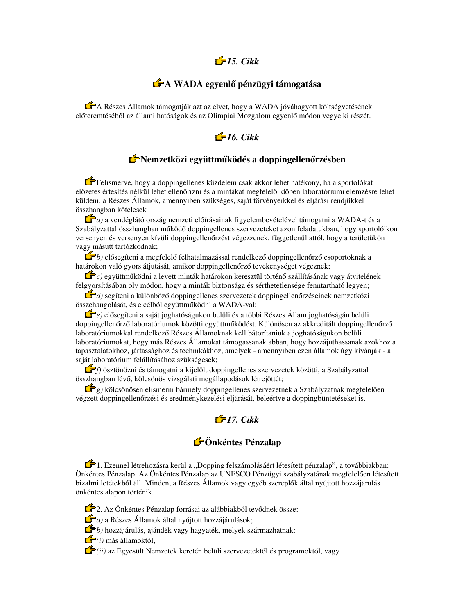*15. Cikk*

#### **A WADA egyenlő pénzügyi támogatása**

A Részes Államok támogatják azt az elvet, hogy a WADA jóváhagyott költségvetésének előteremtéséből az állami hatóságok és az Olimpiai Mozgalom egyenlő módon vegye ki részét.

### *16. Cikk*

#### **Nemzetközi együttműködés a doppingellenőrzésben**

Felismerve, hogy a doppingellenes küzdelem csak akkor lehet hatékony, ha a sportolókat előzetes értesítés nélkül lehet ellenőrizni és a mintákat megfelelő időben laboratóriumi elemzésre lehet küldeni, a Részes Államok, amennyiben szükséges, saját törvényeikkel és eljárási rendjükkel összhangban kötelesek

 $\mathbf{F}$ a) a vendéglátó ország nemzeti előírásainak figyelembevételével támogatni a WADA-t és a Szabályzattal összhangban működő doppingellenes szervezeteket azon feladatukban, hogy sportolóikon versenyen és versenyen kívüli doppingellenőrzést végezzenek, függetlenül attól, hogy a területükön vagy másutt tartózkodnak;

*b)* elősegíteni a megfelelő felhatalmazással rendelkező doppingellenőrző csoportoknak a határokon való gyors átjutását, amikor doppingellenőrző tevékenységet végeznek;

**f** $\epsilon$ ) együttműködni a levett minták határokon keresztül történő szállításának vagy átvitelének felgyorsításában oly módon, hogy a minták biztonsága és sérthetetlensége fenntartható legyen;

*d*) segíteni a különböző doppingellenes szervezetek doppingellenőrzéseinek nemzetközi összehangolását, és e célból együttműködni a WADA-val;

*e)* elősegíteni a saját joghatóságukon belüli és a többi Részes Állam joghatóságán belüli doppingellenőrző laboratóriumok közötti együttműködést. Különösen az akkreditált doppingellenőrző laboratóriumokkal rendelkező Részes Államoknak kell bátorítaniuk a joghatóságukon belüli laboratóriumokat, hogy más Részes Államokat támogassanak abban, hogy hozzájuthassanak azokhoz a tapasztalatokhoz, jártassághoz és technikákhoz, amelyek - amennyiben ezen államok úgy kívánják - a saját laboratórium felállításához szükségesek;

*f)* ösztönözni és támogatni a kijelölt doppingellenes szervezetek közötti, a Szabályzattal összhangban lévő, kölcsönös vizsgálati megállapodások létrejöttét;

*g)* kölcsönösen elismerni bármely doppingellenes szervezetnek a Szabályzatnak megfelelően végzett doppingellenőrzési és eredménykezelési eljárását, beleértve a doppingbüntetéseket is.



# **Önkéntes Pénzalap**

 $\mathbb{F}$ 1. Ezennel létrehozásra kerül a "Dopping felszámolásáért létesített pénzalap", a továbbiakban: Önkéntes Pénzalap. Az Önkéntes Pénzalap az UNESCO Pénzügyi szabályzatának megfelelően létesített bizalmi letétekből áll. Minden, a Részes Államok vagy egyéb szereplők által nyújtott hozzájárulás önkéntes alapon történik.

2. Az Önkéntes Pénzalap forrásai az alábbiakból tevődnek össze:

*a)* a Részes Államok által nyújtott hozzájárulások;

*b)* hozzájárulás, ajándék vagy hagyaték, melyek származhatnak:

*(i)* más államoktól,

*(ii)* az Egyesült Nemzetek keretén belüli szervezetektől és programoktól, vagy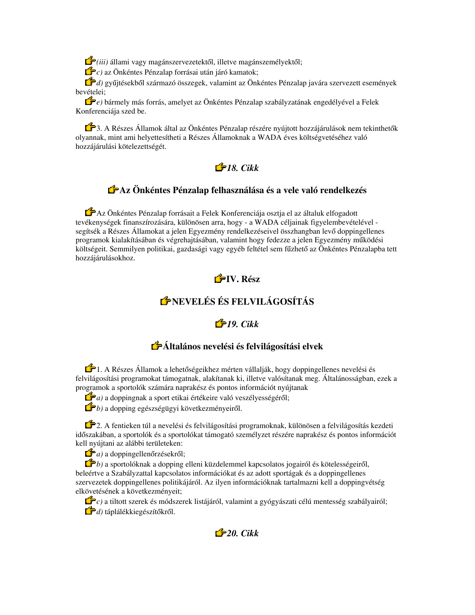*(iii)* állami vagy magánszervezetektől, illetve magánszemélyektől;

*c*) az Önkéntes Pénzalap forrásai után járó kamatok;

 $\mathbf{F}_d$ ) gyűjtésekből származó összegek, valamint az Önkéntes Pénzalap javára szervezett események bevételei;

 $\mathbf{F}_e$ ) bármely más forrás, amelyet az Önkéntes Pénzalap szabályzatának engedélyével a Felek Konferenciája szed be.

3. A Részes Államok által az Önkéntes Pénzalap részére nyújtott hozzájárulások nem tekinthetők olyannak, mint ami helyettesítheti a Részes Államoknak a WADA éves költségvetéséhez való hozzájárulási kötelezettségét.



# **Az Önkéntes Pénzalap felhasználása és a vele való rendelkezés**

Az Önkéntes Pénzalap forrásait a Felek Konferenciája osztja el az általuk elfogadott tevékenységek finanszírozására, különösen arra, hogy - a WADA céljainak figyelembevételével segítsék a Részes Államokat a jelen Egyezmény rendelkezéseivel összhangban levő doppingellenes programok kialakításában és végrehajtásában, valamint hogy fedezze a jelen Egyezmény működési költségeit. Semmilyen politikai, gazdasági vagy egyéb feltétel sem fűzhető az Önkéntes Pénzalapba tett hozzájárulásokhoz.



# **NEVELÉS ÉS FELVILÁGOSÍTÁS**

## *19. Cikk*

#### **Általános nevelési és felvilágosítási elvek**

1. A Részes Államok a lehetőségeikhez mérten vállalják, hogy doppingellenes nevelési és felvilágosítási programokat támogatnak, alakítanak ki, illetve valósítanak meg. Általánosságban, ezek a programok a sportolók számára naprakész és pontos információt nyújtanak

 $\mathcal{F}_a$ ) a doppingnak a sport etikai értékeire való veszélyességéről;

*b)* a dopping egészségügyi következményeiről.

 $\mathbb{F}_2$ . A fentieken túl a nevelési és felvilágosítási programoknak, különösen a felvilágosítás kezdeti időszakában, a sportolók és a sportolókat támogató személyzet részére naprakész és pontos információt kell nyújtani az alábbi területeken:

 $\mathbf{F}_a$ ) a doppingellenőrzésekről;

*b)* a sportolóknak a dopping elleni küzdelemmel kapcsolatos jogairól és kötelességeiről, beleértve a Szabályzattal kapcsolatos információkat és az adott sportágak és a doppingellenes szervezetek doppingellenes politikájáról. Az ilyen információknak tartalmazni kell a doppingvétség elkövetésének a következményeit;

*c* $\vec{r}$ c) a tiltott szerek és módszerek listájáról, valamint a gyógyászati célú mentesség szabályairól; *d*) táplálékkiegészítőkről.

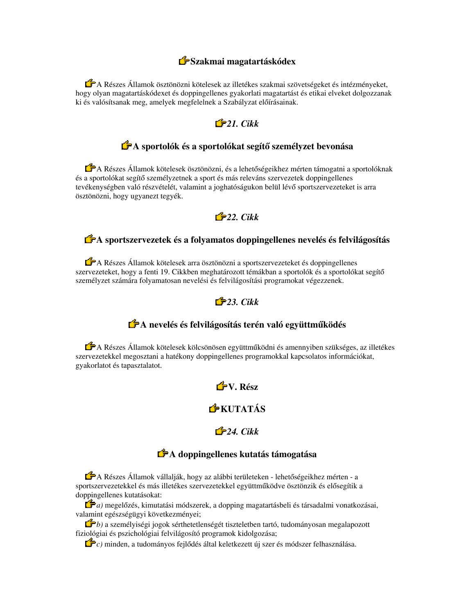## **Szakmai magatartáskódex**

 $\mathbf{G}$  A Részes Államok ösztönözni kötelesek az illetékes szakmai szövetségeket és intézményeket, hogy olyan magatartáskódexet és doppingellenes gyakorlati magatartást és etikai elveket dolgozzanak ki és valósítsanak meg, amelyek megfelelnek a Szabályzat előírásainak.

# *21. Cikk*

### **A sportolók és a sportolókat segítő személyzet bevonása**

A Részes Államok kötelesek ösztönözni, és a lehetőségeikhez mérten támogatni a sportolóknak és a sportolókat segítő személyzetnek a sport és más releváns szervezetek doppingellenes tevékenységben való részvételét, valamint a joghatóságukon belül lévő sportszervezeteket is arra ösztönözni, hogy ugyanezt tegyék.



## **A sportszervezetek és a folyamatos doppingellenes nevelés és felvilágosítás**

A Részes Államok kötelesek arra ösztönözni a sportszervezeteket és doppingellenes szervezeteket, hogy a fenti 19. Cikkben meghatározott témákban a sportolók és a sportolókat segítő személyzet számára folyamatosan nevelési és felvilágosítási programokat végezzenek.



# **A nevelés és felvilágosítás terén való együttműködés**

 $\mathbb{F}$ A Részes Államok kötelesek kölcsönösen együttműködni és amennyiben szükséges, az illetékes szervezetekkel megosztani a hatékony doppingellenes programokkal kapcsolatos információkat, gyakorlatot és tapasztalatot.

**V. Rész**

**KUTATÁS**

*24. Cikk*

## **A doppingellenes kutatás támogatása**

A Részes Államok vállalják, hogy az alábbi területeken - lehetőségeikhez mérten - a sportszervezetekkel és más illetékes szervezetekkel együttműködve ösztönzik és elősegítik a doppingellenes kutatásokat:

 $\mathbf{F}_a$ ) megelőzés, kimutatási módszerek, a dopping magatartásbeli és társadalmi vonatkozásai, valamint egészségügyi következményei;

**b**) a személyiségi jogok sérthetetlenségét tiszteletben tartó, tudományosan megalapozott fiziológiai és pszichológiai felvilágosító programok kidolgozása;

**c** $\vec{r}$ c) minden, a tudományos fejlődés által keletkezett új szer és módszer felhasználása.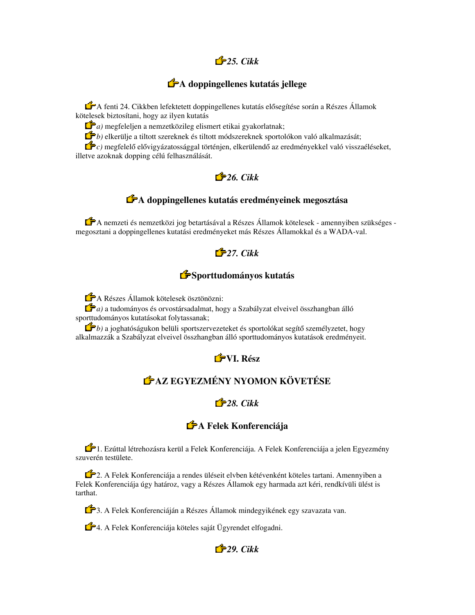*25. Cikk*

#### **A doppingellenes kutatás jellege**

A fenti 24. Cikkben lefektetett doppingellenes kutatás elősegítése során a Részes Államok kötelesek biztosítani, hogy az ilyen kutatás

*a*) megfeleljen a nemzetközileg elismert etikai gyakorlatnak;

*b)* elkerülje a tiltott szereknek és tiltott módszereknek sportolókon való alkalmazását;

*c***)** megfelelő elővigyázatossággal történjen, elkerülendő az eredményekkel való visszaéléseket, illetve azoknak dopping célú felhasználását.

*26. Cikk*

## **A doppingellenes kutatás eredményeinek megosztása**

A nemzeti és nemzetközi jog betartásával a Részes Államok kötelesek - amennyiben szükséges megosztani a doppingellenes kutatási eredményeket más Részes Államokkal és a WADA-val.

# *27. Cikk*

# **Sporttudományos kutatás**

A Részes Államok kötelesek ösztönözni:  $\hat{I}_a$ ) a tudományos és orvostársadalmat, hogy a Szabályzat elveivel összhangban álló sporttudományos kutatásokat folytassanak;

**b**) a joghatóságukon belüli sportszervezeteket és sportolókat segítő személyzetet, hogy alkalmazzák a Szabályzat elveivel összhangban álló sporttudományos kutatások eredményeit.

# **VI. Rész**

### *<u>FAZ EGYEZMÉNY NYOMON KÖVETÉSE</u>*

*28. Cikk*

# **A Felek Konferenciája**

1. Ezúttal létrehozásra kerül a Felek Konferenciája. A Felek Konferenciája a jelen Egyezmény szuverén testülete.

 $\mathbb{F}$ 2. A Felek Konferenciája a rendes üléseit elvben kétévenként köteles tartani. Amennyiben a Felek Konferenciája úgy határoz, vagy a Részes Államok egy harmada azt kéri, rendkívüli ülést is tarthat.

3. A Felek Konferenciáján a Részes Államok mindegyikének egy szavazata van.

4. A Felek Konferenciája köteles saját Ügyrendet elfogadni.

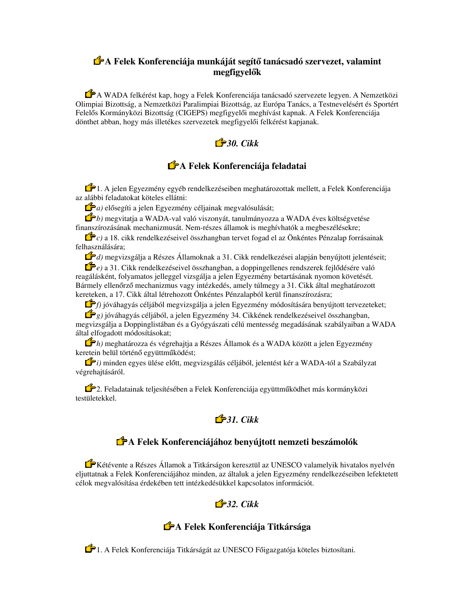### **A Felek Konferenciája munkáját segítő tanácsadó szervezet, valamint megfigyelők**

A WADA felkérést kap, hogy a Felek Konferenciája tanácsadó szervezete legyen. A Nemzetközi Olimpiai Bizottság, a Nemzetközi Paralimpiai Bizottság, az Európa Tanács, a Testnevelésért és Sportért Felelős Kormányközi Bizottság (CIGEPS) megfigyelői meghívást kapnak. A Felek Konferenciája dönthet abban, hogy más illetékes szervezetek megfigyelői felkérést kapjanak.

# *30. Cikk*

### **A Felek Konferenciája feladatai**

 $\mathbb{F}$ 1. A jelen Egyezmény egyéb rendelkezéseiben meghatározottak mellett, a Felek Konferenciája az alábbi feladatokat köteles ellátni:

 $\mathbf{F}_a$ ) elősegíti a jelen Egyezmény céljainak megvalósulását;

**b**) megvitatja a WADA-val való viszonyát, tanulmányozza a WADA éves költségvetése finanszírozásának mechanizmusát. Nem-részes államok is meghívhatók a megbeszélésekre;

**f** $\epsilon$ ) a 18. cikk rendelkezéseivel összhangban tervet fogad el az Önkéntes Pénzalap forrásainak felhasználására;

 $\mathbf{F}$ d) megvizsgálja a Részes Államoknak a 31. Cikk rendelkezései alapján benyújtott jelentéseit;

 $\mathbf{F}_e$ ) a 31. Cikk rendelkezéseivel összhangban, a doppingellenes rendszerek fejlődésére való reagálásként, folyamatos jelleggel vizsgálja a jelen Egyezmény betartásának nyomon követését. Bármely ellenőrző mechanizmus vagy intézkedés, amely túlmegy a 31. Cikk által meghatározott kereteken, a 17. Cikk által létrehozott Önkéntes Pénzalapból kerül finanszírozásra;

*f)* jóváhagyás céljából megvizsgálja a jelen Egyezmény módosítására benyújtott tervezeteket;  $\mathbf{F}_g$ ) jóváhagyás céljából, a jelen Egyezmény 34. Cikkének rendelkezéseivel összhangban, megvizsgálja a Doppinglistában és a Gyógyászati célú mentesség megadásának szabályaiban a WADA által elfogadott módosításokat;

*h)* meghatározza és végrehajtja a Részes Államok és a WADA között a jelen Egyezmény keretein belül történő együttműködést;

*i)* minden egyes ülése előtt, megvizsgálás céljából, jelentést kér a WADA-tól a Szabályzat végrehajtásáról.

2. Feladatainak teljesítésében a Felek Konferenciája együttműködhet más kormányközi testületekkel.

## *31. Cikk*

### **A Felek Konferenciájához benyújtott nemzeti beszámolók**

Kétévente a Részes Államok a Titkárságon keresztül az UNESCO valamelyik hivatalos nyelvén eljuttatnak a Felek Konferenciájához minden, az általuk a jelen Egyezmény rendelkezéseiben lefektetett célok megvalósítása érdekében tett intézkedésükkel kapcsolatos információt.

# *32. Cikk*



1. A Felek Konferenciája Titkárságát az UNESCO Főigazgatója köteles biztosítani.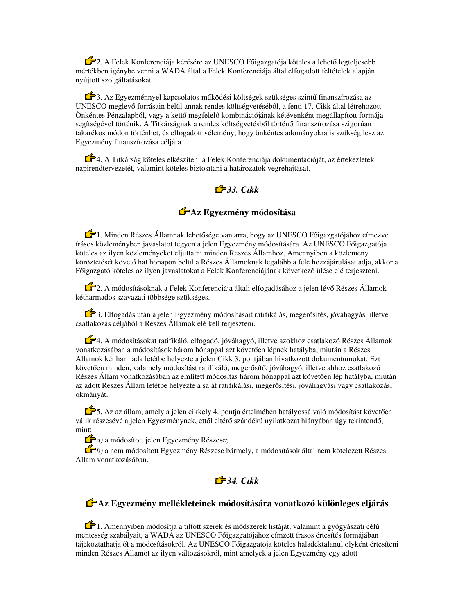2. A Felek Konferenciája kérésére az UNESCO Főigazgatója köteles a lehető legteljesebb mértékben igénybe venni a WADA által a Felek Konferenciája által elfogadott feltételek alapján nyújtott szolgáltatásokat.

3. Az Egyezménnyel kapcsolatos működési költségek szükséges szintű finanszírozása az UNESCO meglevő forrásain belül annak rendes költségvetéséből, a fenti 17. Cikk által létrehozott Önkéntes Pénzalapból, vagy a kettő megfelelő kombinációjának kétévenként megállapított formája segítségével történik. A Titkárságnak a rendes költségvetésből történő finanszírozása szigorúan takarékos módon történhet, és elfogadott vélemény, hogy önkéntes adományokra is szükség lesz az Egyezmény finanszírozása céljára.

4. A Titkárság köteles elkészíteni a Felek Konferenciája dokumentációját, az értekezletek napirendtervezetét, valamint köteles biztosítani a határozatok végrehajtását.

## *33. Cikk*

# **Az Egyezmény módosítása**

1. Minden Részes Államnak lehetősége van arra, hogy az UNESCO Főigazgatójához címezve írásos közleményben javaslatot tegyen a jelen Egyezmény módosítására. Az UNESCO Főigazgatója köteles az ilyen közleményeket eljuttatni minden Részes Államhoz, Amennyiben a közlemény köröztetését követő hat hónapon belül a Részes Államoknak legalább a fele hozzájárulását adja, akkor a Főigazgató köteles az ilyen javaslatokat a Felek Konferenciájának következő ülése elé terjeszteni.

 $\mathbf{F}$ 2. A módosításoknak a Felek Konferenciája általi elfogadásához a jelen lévő Részes Államok kétharmados szavazati többsége szükséges.

3. Elfogadás után a jelen Egyezmény módosításait ratifikálás, megerősítés, jóváhagyás, illetve csatlakozás céljából a Részes Államok elé kell terjeszteni.

4. A módosításokat ratifikáló, elfogadó, jóváhagyó, illetve azokhoz csatlakozó Részes Államok vonatkozásában a módosítások három hónappal azt követően lépnek hatályba, miután a Részes Államok két harmada letétbe helyezte a jelen Cikk 3. pontjában hivatkozott dokumentumokat. Ezt követően minden, valamely módosítást ratifikáló, megerősítő, jóváhagyó, illetve ahhoz csatlakozó Részes Állam vonatkozásában az említett módosítás három hónappal azt követően lép hatályba, miután az adott Részes Állam letétbe helyezte a saját ratifikálási, megerősítési, jóváhagyási vagy csatlakozási okmányát.

 $\mathbb{F}$ 5. Az az állam, amely a jelen cikkely 4. pontja értelmében hatályossá váló módosítást követően válik részesévé a jelen Egyezménynek, ettől eltérő szándékú nyilatkozat hiányában úgy tekintendő, mint:

 $\vec{r}$ *a)* a módosított jelen Egyezmény Részese;

**b**) a nem módosított Egyezmény Részese bármely, a módosítások által nem kötelezett Részes Állam vonatkozásában.

*34. Cikk*

# **Az Egyezmény mellékleteinek módosítására vonatkozó különleges eljárás**

 $\mathbf{F}$ 1. Amennyiben módosítja a tiltott szerek és módszerek listáját, valamint a gyógyászati célú mentesség szabályait, a WADA az UNESCO Főigazgatójához címzett írásos értesítés formájában tájékoztathatja őt a módosításokról. Az UNESCO Főigazgatója köteles haladéktalanul olyként értesíteni minden Részes Államot az ilyen változásokról, mint amelyek a jelen Egyezmény egy adott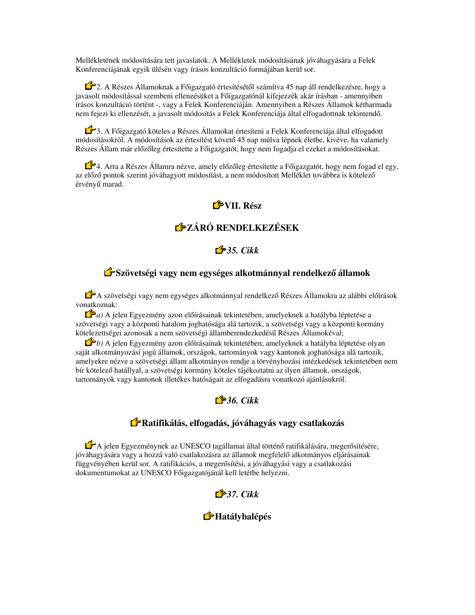Mellékletének módosítására tett javaslatok. A Mellékletek módosításának jóváhagyására a Felek Konferenciájának egyik ülésén vagy írásos konzultáció formájában kerül sor.

<sup>2</sup>2. A Részes Államoknak a Főigazgató értesítésétől számítva 45 nap áll rendelkezésre, hogy a javasolt módosítással szembeni ellenzésüket a Főigazgatónál kifejezzék akár írásban - amennyiben írásos konzultáció történt -, vagy a Felek Konferenciáján. Amennyiben a Részes Államok kétharmada nem fejezi ki ellenzését, a javasolt módosítás a Felek Konferenciája által elfogadottnak tekintendő.

3. A Főigazgató köteles a Részes Államokat értesíteni a Felek Konferenciája által elfogadott módosításokról. A módosítások az értesítést követő 45 nap múlva lépnek életbe, kivéve, ha valamely Részes Állam már előzőleg értesítette a Főigazgatót, hogy nem fogadja el ezeket a módosításokat.

4. Arra a Részes Államra nézve, amely előzőleg értesítette a Főigazgatót, hogy nem fogad el egy, az előző pontok szerint jóváhagyott módosítást, a nem módosított Melléklet továbbra is kötelező érvényű marad.



## **ZÁRÓ RENDELKEZÉSEK**

## *35. Cikk*

#### **Szövetségi vagy nem egységes alkotmánnyal rendelkező államok**

A szövetségi vagy nem egységes alkotmánnyal rendelkező Részes Államokra az alábbi előírások vonatkoznak:

*z* $\bullet$ a) A jelen Egyezmény azon előírásainak tekintetében, amelyeknek a hatályba léptetése a szövetségi vagy a központi hatalom joghatósága alá tartozik, a szövetségi vagy a központi kormány kötelezettségei azonosak a nem szövetségi államberendezkedésű Részes Államokéval;

*b)* A jelen Egyezmény azon előírásainak tekintetében, amelyeknek a hatályba léptetése olyan saját alkotmányozási jogú államok, országok, tartományok vagy kantonok joghatósága alá tartozik, amelyekre nézve a szövetségi állam alkotmányos rendje a törvényhozási intézkedések tekintetében nem bír kötelező hatállyal, a szövetségi kormány köteles tájékoztatni az ilyen államok, országok, tartományok vagy kantonok illetékes hatóságait az elfogadásra vonatkozó ajánlásukról.



# **Ratifikálás, elfogadás, jóváhagyás vagy csatlakozás**

A jelen Egyezménynek az UNESCO tagállamai által történő ratifikálására, megerősítésére, jóváhagyására vagy a hozzá való csatlakozásra az államok megfelelő alkotmányos eljárásainak függvényében kerül sor. A ratifikációs, a megerősítési, a jóváhagyási vagy a csatlakozási dokumentumokat az UNESCO Főigazgatójánál kell letétbe helyezni.



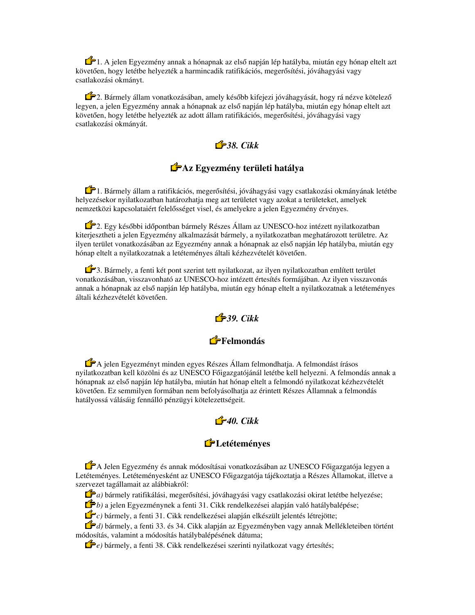1. A jelen Egyezmény annak a hónapnak az első napján lép hatályba, miután egy hónap eltelt azt követően, hogy letétbe helyezték a harmincadik ratifikációs, megerősítési, jóváhagyási vagy csatlakozási okmányt.

2. Bármely állam vonatkozásában, amely később kifejezi jóváhagyását, hogy rá nézve kötelező legyen, a jelen Egyezmény annak a hónapnak az első napján lép hatályba, miután egy hónap eltelt azt követően, hogy letétbe helyezték az adott állam ratifikációs, megerősítési, jóváhagyási vagy csatlakozási okmányát.



# **Az Egyezmény területi hatálya**

1. Bármely állam a ratifikációs, megerősítési, jóváhagyási vagy csatlakozási okmányának letétbe helyezésekor nyilatkozatban határozhatja meg azt területet vagy azokat a területeket, amelyek nemzetközi kapcsolataiért felelősséget visel, és amelyekre a jelen Egyezmény érvényes.

2. Egy későbbi időpontban bármely Részes Állam az UNESCO-hoz intézett nyilatkozatban kiterjesztheti a jelen Egyezmény alkalmazását bármely, a nyilatkozatban meghatározott területre. Az ilyen terület vonatkozásában az Egyezmény annak a hónapnak az első napján lép hatályba, miután egy hónap eltelt a nyilatkozatnak a letéteményes általi kézhezvételét követően.

3. Bármely, a fenti két pont szerint tett nyilatkozat, az ilyen nyilatkozatban említett terület vonatkozásában, visszavonható az UNESCO-hoz intézett értesítés formájában. Az ilyen visszavonás annak a hónapnak az első napján lép hatályba, miután egy hónap eltelt a nyilatkozatnak a letéteményes általi kézhezvételét követően.



A jelen Egyezményt minden egyes Részes Állam felmondhatja. A felmondást írásos nyilatkozatban kell közölni és az UNESCO Főigazgatójánál letétbe kell helyezni. A felmondás annak a hónapnak az első napján lép hatályba, miután hat hónap eltelt a felmondó nyilatkozat kézhezvételét követően. Ez semmilyen formában nem befolyásolhatja az érintett Részes Államnak a felmondás hatályossá válásáig fennálló pénzügyi kötelezettségeit.



# **Letéteményes**

A Jelen Egyezmény és annak módosításai vonatkozásában az UNESCO Főigazgatója legyen a Letéteményes. Letéteményesként az UNESCO Főigazgatója tájékoztatja a Részes Államokat, illetve a szervezet tagállamait az alábbiakról:

*a)* bármely ratifikálási, megerősítési, jóváhagyási vagy csatlakozási okirat letétbe helyezése;

**b**) a jelen Egyezménynek a fenti 31. Cikk rendelkezései alapján való hatálybalépése;

*c* $\vec{r}$ c) bármely, a fenti 31. Cikk rendelkezései alapján elkészült jelentés létrejötte;

*d* d) bármely, a fenti 33. és 34. Cikk alapján az Egyezményben vagy annak Mellékleteiben történt módosítás, valamint a módosítás hatálybalépésének dátuma;

*e*) bármely, a fenti 38. Cikk rendelkezései szerinti nyilatkozat vagy értesítés;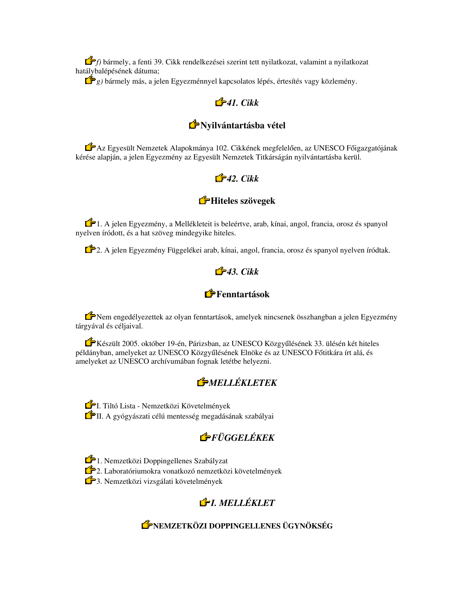**f**) bármely, a fenti 39. Cikk rendelkezései szerint tett nyilatkozat, valamint a nyilatkozat hatálybalépésének dátuma;

*g)* bármely más, a jelen Egyezménnyel kapcsolatos lépés, értesítés vagy közlemény.

# *41. Cikk*



Az Egyesült Nemzetek Alapokmánya 102. Cikkének megfelelően, az UNESCO Főigazgatójának kérése alapján, a jelen Egyezmény az Egyesült Nemzetek Titkárságán nyilvántartásba kerül.



# **Hiteles szövegek**

1. A jelen Egyezmény, a Mellékleteit is beleértve, arab, kínai, angol, francia, orosz és spanyol nyelven íródott, és a hat szöveg mindegyike hiteles.

 $\mathbb{F}$ 2. A jelen Egyezmény Függelékei arab, kínai, angol, francia, orosz és spanyol nyelven íródtak.



# **Fenntartások**

Nem engedélyezettek az olyan fenntartások, amelyek nincsenek összhangban a jelen Egyezmény tárgyával és céljaival.

Készült 2005. október 19-én, Párizsban, az UNESCO Közgyűlésének 33. ülésén két hiteles példányban, amelyeket az UNESCO Közgyűlésének Elnöke és az UNESCO Főtitkára írt alá, és amelyeket az UNESCO archívumában fognak letétbe helyezni.



I. Tiltó Lista - Nemzetközi Követelmények II. A gyógyászati célú mentesség megadásának szabályai



1. Nemzetközi Doppingellenes Szabályzat 2. Laboratóriumokra vonatkozó nemzetközi követelmények 3. Nemzetközi vizsgálati követelmények



**ÉNEMZETKÖZI DOPPINGELLENES ÜGYNÖKSÉG**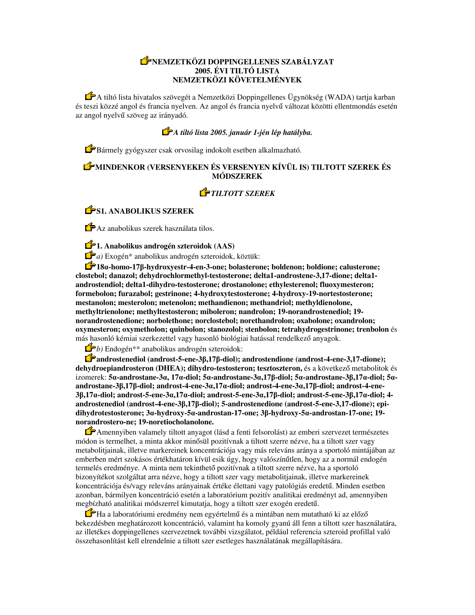#### **NEMZETKÖZI DOPPINGELLENES SZABÁLYZAT 2005. ÉVI TILTÓ LISTA NEMZETKÖZI KÖVETELMÉNYEK**

A tiltó lista hivatalos szövegét a Nemzetközi Doppingellenes Ügynökség (WADA) tartja karban és teszi közzé angol és francia nyelven. Az angol és francia nyelvű változat közötti ellentmondás esetén az angol nyelvű szöveg az irányadó.

#### *A tiltó lista 2005. január 1-jén lép hatályba.*

Bármely gyógyszer csak orvosilag indokolt esetben alkalmazható.

**G**MINDENKOR (VERSENYEKEN ÉS VERSENYEN KÍVÜL IS) TILTOTT SZEREK ÉS **MÓDSZEREK**

### *TILTOTT SZEREK*

#### **S1. ANABOLIKUS SZEREK**

Az anabolikus szerek használata tilos.

**1. Anabolikus androgén szteroidok (AAS)**

**F**a) Exogén\* anabolikus androgén szteroidok, köztük:

**18α-homo-17β-hydroxyestr-4-en-3-one; bolasterone; boldenon; boldione; calusterone; clostebol; danazol; dehydrochlormethyl-testosterone; delta1-androstene-3,17-dione; delta1 androstendiol; delta1-dihydro-testosterone; drostanolone; ethylesterenol; fluoxymesteron; formebolon; furazabol; gestrinone; 4-hydroxytestosterone; 4-hydroxy-19-nortestosterone; mestanolon; mesterolon; metenolon; methandienon; methandriol; methyldienolone, methyltrienolone; methyltestosteron; miboleron; nandrolon; 19-norandrostenediol; 19 norandrostenedione; norbolethone; norclostebol; norethandrolon; oxabolone; oxandrolon; oxymesteron; oxymetholon; quinbolon; stanozolol; stenbolon; tetrahydrogestrinone; trenbolon** és más hasonló kémiai szerkezettel vagy hasonló biológiai hatással rendelkező anyagok.

*b*) Endogén\*\* anabolikus androgén szteroidok:

**androstenediol (androst-5-ene-3β,17β-diol); androstendione (androst-4-ene-3,17-dione); dehydroepiandrosteron (DHEA); dihydro-testosteron; tesztoszteron,** és a következő metabolitok és izomerek: 5a-androstane-3a, 17a-diol; 5a-androstane-3a, 17β-diol; 5a-androstane-3β, 17a-diol; 5a**androstane-3β,17β-diol; androst-4-ene-3α,17α-diol; androst-4-ene-3α,17β-diol; androst-4-ene-3β,17α-diol; androst-5-ene-3α,17α-diol; androst-5-ene-3α,17β-diol; androst-5-ene-3β,17α-diol; 4 androstenediol (androst-4-ene-3β,17β-diol); 5-androstenedione (androst-5-ene-3,17-dione); epidihydrotestosterone; 3α-hydroxy-5α-androstan-17-one; 3β-hydroxy-5α-androstan-17-one; 19 norandrostero-ne; 19-noretiocholanolone.**

Amennyiben valamely tiltott anyagot (lásd a fenti felsorolást) az emberi szervezet természetes módon is termelhet, a minta akkor minősül pozitívnak a tiltott szerre nézve, ha a tiltott szer vagy metabolitjainak, illetve markereinek koncentrációja vagy más releváns aránya a sportoló mintájában az emberben mért szokásos értékhatáron kívül esik úgy, hogy valószínűtlen, hogy az a normál endogén termelés eredménye. A minta nem tekinthető pozitívnak a tiltott szerre nézve, ha a sportoló bizonyítékot szolgáltat arra nézve, hogy a tiltott szer vagy metabolitjainak, illetve markereinek koncentrációja és/vagy releváns arányainak értéke élettani vagy patológiás eredetű. Minden esetben azonban, bármilyen koncentráció esetén a laboratórium pozitív analitikai eredményt ad, amennyiben megbízható analitikai módszerrel kimutatja, hogy a tiltott szer exogén eredetű.

Ha a laboratóriumi eredmény nem egyértelmű és a mintában nem mutatható ki az előző bekezdésben meghatározott koncentráció, valamint ha komoly gyanú áll fenn a tiltott szer használatára, az illetékes doppingellenes szervezetnek további vizsgálatot, például referencia szteroid profillal való összehasonlítást kell elrendelnie a tiltott szer esetleges használatának megállapítására.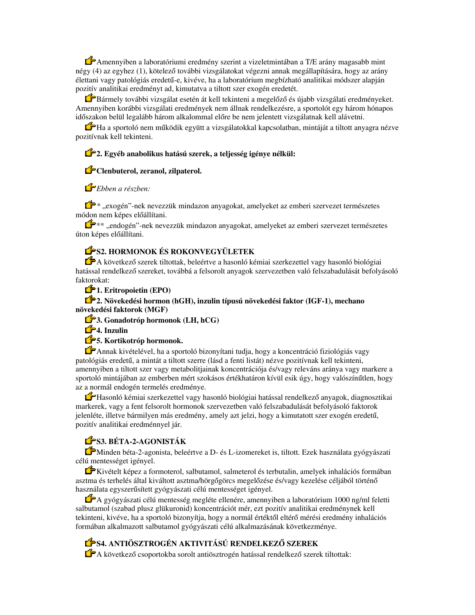Amennyiben a laboratóriumi eredmény szerint a vizeletmintában a T/E arány magasabb mint négy (4) az egyhez (1), kötelező további vizsgálatokat végezni annak megállapítására, hogy az arány élettani vagy patológiás eredetű-e, kivéve, ha a laboratórium megbízható analitikai módszer alapján pozitív analitikai eredményt ad, kimutatva a tiltott szer exogén eredetét.

 $\mathbf{F}$  Bármely további vizsgálat esetén át kell tekinteni a megelőző és újabb vizsgálati eredményeket. Amennyiben korábbi vizsgálati eredmények nem állnak rendelkezésre, a sportolót egy három hónapos időszakon belül legalább három alkalommal előre be nem jelentett vizsgálatnak kell alávetni.

 $\mathbf{F}$ Ha a sportoló nem működik együtt a vizsgálatokkal kapcsolatban, mintáját a tiltott anyagra nézve pozitívnak kell tekinteni.

**2. Egyéb anabolikus hatású szerek, a teljesség igénye nélkül:**

#### **Clenbuterol, zeranol, zilpaterol.**

*Ebben a részben:*

*\** "exogén"-nek nevezzük mindazon anyagokat, amelyeket az emberi szervezet természetes módon nem képes előállítani.

 $\mathbf{F}^{**}$  , endogén"-nek nevezzük mindazon anyagokat, amelyeket az emberi szervezet természetes úton képes előállítani.

#### **S2. HORMONOK ÉS ROKONVEGYÜLETEK**

 $\mathbb{F}$ A következő szerek tiltottak, beleértve a hasonló kémiai szerkezettel vagy hasonló biológiai hatással rendelkező szereket, továbbá a felsorolt anyagok szervezetben való felszabadulását befolyásoló faktorokat:

**1. Eritropoietin (EPO)**

**2. Növekedési hormon (hGH), inzulin típusú növekedési faktor (IGF-1), mechano növekedési faktorok (MGF)**

**3. Gonadotróp hormonok (LH, hCG)**

**4.** Inzulin

#### **5. Kortikotróp hormonok.**

Annak kivételével, ha a sportoló bizonyítani tudja, hogy a koncentráció fiziológiás vagy patológiás eredetű, a mintát a tiltott szerre (lásd a fenti listát) nézve pozitívnak kell tekinteni, amennyiben a tiltott szer vagy metabolitjainak koncentrációja és/vagy releváns aránya vagy markere a sportoló mintájában az emberben mért szokásos értékhatáron kívül esik úgy, hogy valószínűtlen, hogy az a normál endogén termelés eredménye.

 $\mathbf{H}$ Hasonló kémiai szerkezettel vagy hasonló biológiai hatással rendelkező anyagok, diagnosztikai markerek, vagy a fent felsorolt hormonok szervezetben való felszabadulását befolyásoló faktorok jelenléte, illetve bármilyen más eredmény, amely azt jelzi, hogy a kimutatott szer exogén eredetű, pozitív analitikai eredménnyel jár.

#### **S3. BÉTA-2-AGONISTÁK**

Minden béta-2-agonista, beleértve a D- és L-izomereket is, tiltott. Ezek használata gyógyászati célú mentességet igényel.

 $\mathbb{F}$ Kivételt képez a formoterol, salbutamol, salmeterol és terbutalin, amelyek inhalációs formában asztma és terhelés által kiváltott asztma/hörgőgörcs megelőzése és/vagy kezelése céljából történő használata egyszerűsített gyógyászati célú mentességet igényel.

A gyógyászati célú mentesség megléte ellenére, amennyiben a laboratórium 1000 ng/ml feletti salbutamol (szabad plusz glükuronid) koncentrációt mér, ezt pozitív analitikai eredménynek kell tekinteni, kivéve, ha a sportoló bizonyítja, hogy a normál értéktől eltérő mérési eredmény inhalációs formában alkalmazott salbutamol gyógyászati célú alkalmazásának következménye.

#### **S4. ANTIÖSZTROGÉN AKTIVITÁSÚ RENDELKEZŐ SZEREK**

A következő csoportokba sorolt antiösztrogén hatással rendelkező szerek tiltottak: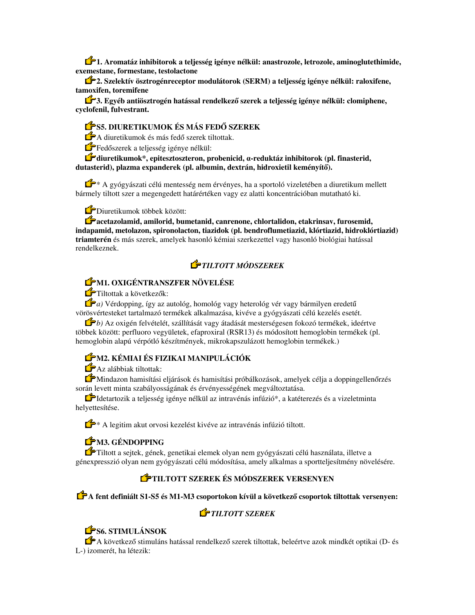**1. Aromatáz inhibitorok a teljesség igénye nélkül: anastrozole, letrozole, aminoglutethimide, exemestane, formestane, testolactone**

**2. Szelektív ösztrogénreceptor modulátorok (SERM) a teljesség igénye nélkül: raloxifene, tamoxifen, toremifene**

**3. Egyéb antiösztrogén hatással rendelkező szerek a teljesség igénye nélkül: clomiphene, cyclofenil, fulvestrant.**

#### **S5. DIURETIKUMOK ÉS MÁS FEDŐ SZEREK**

A diuretikumok és más fedő szerek tiltottak.

Fedőszerek a teljesség igénye nélkül:

**diuretikumok\*, epitesztoszteron, probenicid, α-reduktáz inhibitorok (pl. finasterid, dutasterid), plazma expanderek (pl. albumin, dextrán, hidroxietil keményítő).**

\* A gyógyászati célú mentesség nem érvényes, ha a sportoló vizeletében a diuretikum mellett bármely tiltott szer a megengedett határértéken vagy ez alatti koncentrációban mutatható ki.

**D**iuretikumok többek között:

**acetazolamid, amilorid, bumetanid, canrenone, chlortalidon, etakrinsav, furosemid, indapamid, metolazon, spironolacton, tiazidok (pl. bendroflumetiazid, klórtiazid, hidroklórtiazid) triamterén** és más szerek, amelyek hasonló kémiai szerkezettel vagy hasonló biológiai hatással rendelkeznek.

# *TILTOTT MÓDSZEREK*

### **F**M1. OXIGÉNTRANSZFER NÖVELÉSE

**T**Tiltottak a következők:

*z* $\vec{r}$ a) Vérdopping, így az autológ, homológ vagy heterológ vér vagy bármilyen eredetű vörösvértesteket tartalmazó termékek alkalmazása, kivéve a gyógyászati célú kezelés esetét.

**b**) Az oxigén felvételét, szállítását vagy átadását mesterségesen fokozó termékek, ideértve többek között: perfluoro vegyületek, efaproxiral (RSR13) és módosított hemoglobin termékek (pl. hemoglobin alapú vérpótló készítmények, mikrokapszulázott hemoglobin termékek.)

### **ÉM2. KÉMIAI ÉS FIZIKAI MANIPULÁCIÓK**

 $\mathbf{F}$  Az alábbiak tiltottak:

Mindazon hamisítási eljárások és hamisítási próbálkozások, amelyek célja a doppingellenőrzés során levett minta szabályosságának és érvényességének megváltoztatása.

Idetartozik a teljesség igénye nélkül az intravénás infúzió\*, a katéterezés és a vizeletminta helyettesítése.

 $\mathbf{F}^*$  A legitim akut orvosi kezelést kivéve az intravénás infúzió tiltott.

#### **M3. GÉNDOPPING**

Tiltott a sejtek, gének, genetikai elemek olyan nem gyógyászati célú használata, illetve a génexpresszió olyan nem gyógyászati célú módosítása, amely alkalmas a sportteljesítmény növelésére.

## **FILTOTT SZEREK ÉS MÓDSZEREK VERSENYEN**

**A fent definiált S1-S5 és M1-M3 csoportokon kívül a következő csoportok tiltottak versenyen:**

### *TILTOTT SZEREK*

## **S** SERVILLÁNSOK

A következő stimuláns hatással rendelkező szerek tiltottak, beleértve azok mindkét optikai (D- és L-) izomerét, ha létezik: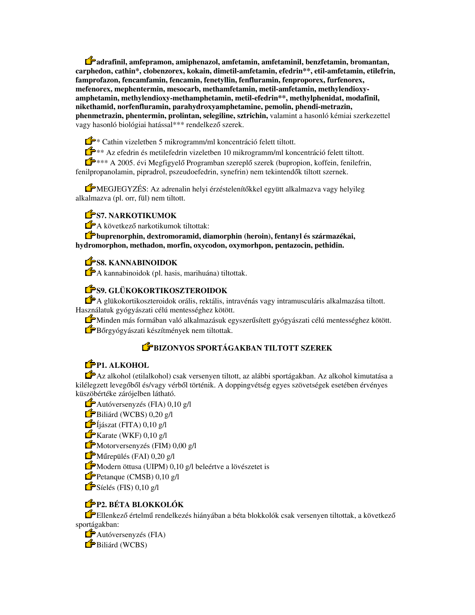**adrafinil, amfepramon, amiphenazol, amfetamin, amfetaminil, benzfetamin, bromantan, carphedon, cathin\*, clobenzorex, kokain, dimetil-amfetamin, efedrin\*\*, etil-amfetamin, etilefrin, famprofazon, fencamfamin, fencamin, fenetyllin, fenfluramin, fenproporex, furfenorex, mefenorex, mephentermin, mesocarb, methamfetamin, metil-amfetamin, methylendioxyamphetamin, methylendioxy-methamphetamin, metil-efedrin\*\*, methylphenidat, modafinil, nikethamid, norfenfluramin, parahydroxyamphetamine, pemolin, phendi-metrazin, phenmetrazin, phentermin, prolintan, selegiline, sztrichin,** valamint a hasonló kémiai szerkezettel vagy hasonló biológiai hatással\*\*\* rendelkező szerek.

 $\mathbb{C}^*$  Cathin vizeletben 5 mikrogramm/ml koncentráció felett tiltott.

 $\mathbb{Z}^*$ \*\* Az efedrin és metilefedrin vizeletben 10 mikrogramm/ml koncentráció felett tiltott.

 $\mathbb{Z}^{***}$  A 2005. évi Megfigyelő Programban szereplő szerek (bupropion, koffein, fenilefrin, fenilpropanolamin, pipradrol, pszeudoefedrin, synefrin) nem tekintendők tiltott szernek.

MEGJEGYZÉS: Az adrenalin helyi érzéstelenítőkkel együtt alkalmazva vagy helyileg alkalmazva (pl. orr, fül) nem tiltott.

#### **S7. NARKOTIKUMOK**

A következő narkotikumok tiltottak:

**buprenorphin, dextromoramid, diamorphin (heroin), fentanyl és származékai, hydromorphon, methadon, morfin, oxycodon, oxymorhpon, pentazocin, pethidin.**

#### **S8. KANNABINOIDOK**

A kannabinoidok (pl. hasis, marihuána) tiltottak.

### **S9. GLÜKOKORTIKOSZTEROIDOK**

A glükokortikoszteroidok orális, rektális, intravénás vagy intramusculáris alkalmazása tiltott. Használatuk gyógyászati célú mentességhez kötött.

Minden más formában való alkalmazásuk egyszerűsített gyógyászati célú mentességhez kötött. Bőrgyógyászati készítmények nem tiltottak.

#### **BIZONYOS SPORTÁGAKBAN TILTOTT SZEREK**

#### **P1. ALKOHOL**

Az alkohol (etilalkohol) csak versenyen tiltott, az alábbi sportágakban. Az alkohol kimutatása a kilélegzett levegőből és/vagy vérből történik. A doppingvétség egyes szövetségek esetében érvényes küszöbértéke zárójelben látható.

Autóversenyzés (FIA) 0,10 g/l

Biliárd (WCBS) 0,20 g/l

 $\mathbf{\hat{F}}$ Íjászat (FITA) 0,10 g/l

 $Karate$  (WKF) 0,10 g/l

 $\blacktriangleright$  Motorversenyzés (FIM) 0,00 g/l

Műrepülés (FAI) 0,20 g/l

Modern öttusa (UIPM) 0,10 g/l beleértve a lövészetet is

Petanque (CMSB) 0,10 g/l

 $S$ íelés (FIS) 0,10 g/l

### **P2. BÉTA BLOKKOLÓK**

Ellenkező értelmű rendelkezés hiányában a béta blokkolók csak versenyen tiltottak, a következő sportágakban:

Autóversenyzés (FIA)  $\mathbf{G}$ Biliárd (WCBS)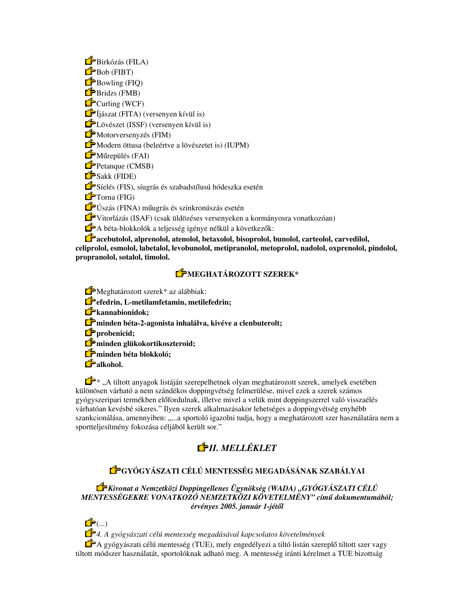Birkózás (FILA)  $Bob$  (FIBT)  $\mathbf{\mathring{\Gamma}}$  Bowling (FIQ)  $\mathbf{F}$ Bridzs (FMB)  $Curling (WCF)$  $\mathbf{\Gamma}$ Íjászat (FITA) (versenyen kívül is) Lövészet (ISSF) (versenyen kívül is)  $\mathbf{\mathcal{F}}$  Motorversenyzés (FIM) Modern öttusa (beleértve a lövészetet is) (IUPM) **Műrepülés** (FAI)  $\mathbf{P}$ Petanque (CMSB)  $Sakk$  (FIDE) Síelés (FIS), síugrás és szabadstílusú hódeszka esetén  $\mathbf{C}$ Torna (FIG) Úszás (FINA) műugrás és szinkronúszás esetén Vitorlázás (ISAF) (csak üldözéses versenyeken a kormányosra vonatkozóan) A béta-blokkolók a teljesség igénye nélkül a következők: *f* acebutolol, alprenolol, atenolol, betaxolol, bisoprolol, bunolol, carteolol, carvedilol, **celiprolol, esmolol, labetalol, levobunolol, metipranolol, metoprolol, nadolol, oxprenolol, pindolol, propranolol, sotalol, timolol.**

## **MEGHATÁROZOTT SZEREK\***

 $\mathbb{C}^{\blacktriangleright}$  Meghatározott szerek\* az alábbiak: **efedrin, L-metilamfetamin, metilefedrin; kannabionidok;** *i***minden béta-2-agonista inhalálva, kivéve a clenbuterolt;** *<u>Probenicid</u>*; *<del>minden glükokortikoszteroid*</del>; **F**minden béta blokkoló; *<u>E*</u> alkohol.

 $\mathbb{F}^*$ , A tiltott anyagok listáján szerepelhetnek olyan meghatározott szerek, amelyek esetében különösen várható a nem szándékos doppingvétség felmerülése, mivel ezek a szerek számos gyógyszeripari termékben előfordulnak, illetve mivel a velük mint doppingszerrel való visszaélés várhatóan kevésbé sikeres." Ilyen szerek alkalmazásakor lehetséges a doppingvétség enyhébb szankcionálása, amennyiben: .....a sportoló igazolni tudja, hogy a meghatározott szer használatára nem a sportteljesítmény fokozása céljából került sor."

# *II. MELLÉKLET*

# **GYÓGYÁSZATI CÉLÚ MENTESSÉG MEGADÁSÁNAK SZABÁLYAI**

*Kivonat a Nemzetközi Doppingellenes Ügynökség (WADA) "GYÓGYÁSZATI CÉLÚ MENTESSÉGEKRE VONATKOZÓ NEMZETKÖZI KÖVETELMÉNY" című dokumentumából; érvényes 2005. január 1-jétől*

 $\mathbf{F}$ (...) *4. A gyógyászati célú mentesség megadásával kapcsolatos követelmények*  $\mathbf{F}$ A gyógyászati célú mentesség (TUE), mely engedélyezi a tiltó listán szereplő tiltott szer vagy tiltott módszer használatát, sportolóknak adható meg. A mentesség iránti kérelmet a TUE bizottság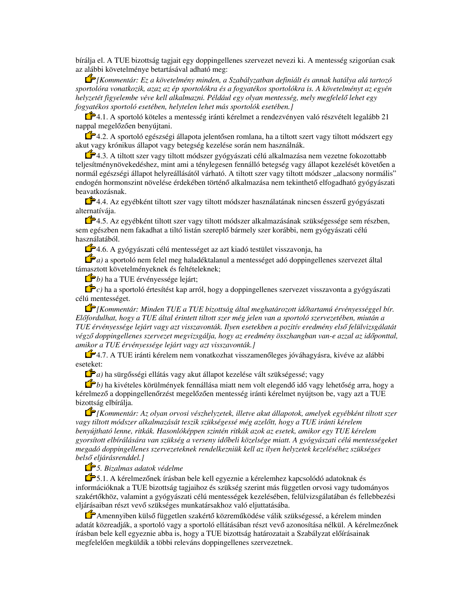bírálja el. A TUE bizottság tagjait egy doppingellenes szervezet nevezi ki. A mentesség szigorúan csak az alábbi követelménye betartásával adható meg:

*[Kommentár: Ez a követelmény minden, a Szabályzatban definiált és annak hatálya alá tartozó sportolóra vonatkozik, azaz az ép sportolókra és a fogyatékos sportolókra is. A követelményt az egyén helyzetét figyelembe véve kell alkalmazni. Például egy olyan mentesség, mely megfelelő lehet egy fogyatékos sportoló esetében, helytelen lehet más sportolók esetében.]*

 $\Box$  4.1. A sportoló köteles a mentesség iránti kérelmet a rendezvényen való részvételt legalább 21 nappal megelőzően benyújtani.

4.2. A sportoló egészségi állapota jelentősen romlana, ha a tiltott szert vagy tiltott módszert egy akut vagy krónikus állapot vagy betegség kezelése során nem használnák.

 $\mathbf{F}$ 4.3. A tiltott szer vagy tiltott módszer gyógyászati célú alkalmazása nem vezetne fokozottabb teljesítménynövekedéshez, mint ami a ténylegesen fennálló betegség vagy állapot kezelését követően a normál egészségi állapot helyreállásától várható. A tiltott szer vagy tiltott módszer "alacsony normális" endogén hormonszint növelése érdekében történő alkalmazása nem tekinthető elfogadható gyógyászati beavatkozásnak.

4.4. Az egyébként tiltott szer vagy tiltott módszer használatának nincsen ésszerű gyógyászati alternatívája.

 $\hat{F}$ 4.5. Az egyébként tiltott szer vagy tiltott módszer alkalmazásának szükségessége sem részben, sem egészben nem fakadhat a tiltó listán szereplő bármely szer korábbi, nem gyógyászati célú használatából.

4.6. A gyógyászati célú mentességet az azt kiadó testület visszavonja, ha

 $\mathbf{F}$ a) a sportoló nem felel meg haladéktalanul a mentességet adó doppingellenes szervezet által támasztott követelményeknek és feltételeknek;

*b*) ha a TUE érvényessége lejárt;

*c***)** ha a sportoló értesítést kap arról, hogy a doppingellenes szervezet visszavonta a gyógyászati célú mentességet.

*[Kommentár: Minden TUE a TUE bizottság által meghatározott időtartamú érvényességgel bír. Előfordulhat, hogy a TUE által érintett tiltott szer még jelen van a sportoló szervezetében, miután a TUE érvényessége lejárt vagy azt visszavonták. Ilyen esetekben a pozitív eredmény első felülvizsgálatát végző doppingellenes szervezet megvizsgálja, hogy az eredmény összhangban van-e azzal az időponttal, amikor a TUE érvényessége lejárt vagy azt visszavonták.]*

4.7. A TUE iránti kérelem nem vonatkozhat visszamenőleges jóváhagyásra, kivéve az alábbi eseteket:

 $\mathbf{F}_a$ ) ha sürgősségi ellátás vagy akut állapot kezelése vált szükségessé; vagy

**b**) ha kivételes körülmények fennállása miatt nem volt elegendő idő vagy lehetőség arra, hogy a kérelmező a doppingellenőrzést megelőzően mentesség iránti kérelmet nyújtson be, vagy azt a TUE bizottság elbírálja.

*[Kommentár: Az olyan orvosi vészhelyzetek, illetve akut állapotok, amelyek egyébként tiltott szer vagy tiltott módszer alkalmazását teszik szükségessé még azelőtt, hogy a TUE iránti kérelem benyújtható lenne, ritkák. Hasonlóképpen szintén ritkák azok az esetek, amikor egy TUE kérelem gyorsított elbírálására van szükség a verseny időbeli közelsége miatt. A gyógyászati célú mentességeket megadó doppingellenes szervezeteknek rendelkezniük kell az ilyen helyzetek kezeléséhez szükséges belső eljárásrenddel.]*

*5. Bizalmas adatok védelme*

5.1. A kérelmezőnek írásban bele kell egyeznie a kérelemhez kapcsolódó adatoknak és információknak a TUE bizottság tagjaihoz és szükség szerint más független orvosi vagy tudományos szakértőkhöz, valamint a gyógyászati célú mentességek kezelésében, felülvizsgálatában és fellebbezési eljárásaiban részt vevő szükséges munkatársakhoz való eljuttatásába.

Amennyiben külső független szakértő közreműködése válik szükségessé, a kérelem minden adatát közreadják, a sportoló vagy a sportoló ellátásában részt vevő azonosítása nélkül. A kérelmezőnek írásban bele kell egyeznie abba is, hogy a TUE bizottság határozatait a Szabályzat előírásainak megfelelően megküldik a többi releváns doppingellenes szervezetnek.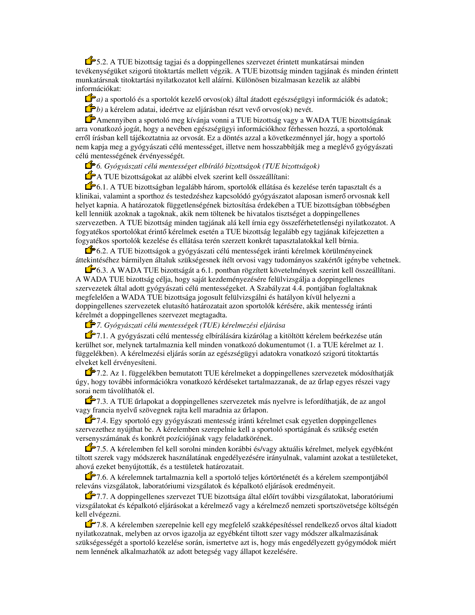5.2. A TUE bizottság tagjai és a doppingellenes szervezet érintett munkatársai minden tevékenységüket szigorú titoktartás mellett végzik. A TUE bizottság minden tagjának és minden érintett munkatársnak titoktartási nyilatkozatot kell aláírni. Különösen bizalmasan kezelik az alábbi információkat:

 $\mathbf{F}_a$ ) a sportoló és a sportolót kezelő orvos(ok) által átadott egészségügyi információk és adatok; *b)* a kérelem adatai, ideértve az eljárásban részt vevő orvos(ok) nevét.

Amennyiben a sportoló meg kívánja vonni a TUE bizottság vagy a WADA TUE bizottságának arra vonatkozó jogát, hogy a nevében egészségügyi információkhoz férhessen hozzá, a sportolónak erről írásban kell tájékoztatnia az orvosát. Ez a döntés azzal a következménnyel jár, hogy a sportoló nem kapja meg a gyógyászati célú mentességet, illetve nem hosszabbítják meg a meglévő gyógyászati célú mentességének érvényességét.

*6. Gyógyászati célú mentességet elbíráló bizottságok (TUE bizottságok)*

A TUE bizottságokat az alábbi elvek szerint kell összeállítani:

6.1. A TUE bizottságban legalább három, sportolók ellátása és kezelése terén tapasztalt és a klinikai, valamint a sporthoz és testedzéshez kapcsolódó gyógyászatot alaposan ismerő orvosnak kell helyet kapnia. A határozatok függetlenségének biztosítása érdekében a TUE bizottságban többségben kell lenniük azoknak a tagoknak, akik nem töltenek be hivatalos tisztséget a doppingellenes szervezetben. A TUE bizottság minden tagjának alá kell írnia egy összeférhetetlenségi nyilatkozatot. A fogyatékos sportolókat érintő kérelmek esetén a TUE bizottság legalább egy tagjának kifejezetten a fogyatékos sportolók kezelése és ellátása terén szerzett konkrét tapasztalatokkal kell bírnia.

6.2. A TUE bizottságok a gyógyászati célú mentességek iránti kérelmek körülményeinek áttekintéséhez bármilyen általuk szükségesnek ítélt orvosi vagy tudományos szakértőt igénybe vehetnek.

 $\mathbf{G}$ 6.3. A WADA TUE bizottságát a 6.1. pontban rögzített követelmények szerint kell összeállítani. A WADA TUE bizottság célja, hogy saját kezdeményezésére felülvizsgálja a doppingellenes szervezetek által adott gyógyászati célú mentességeket. A Szabályzat 4.4. pontjában foglaltaknak megfelelően a WADA TUE bizottsága jogosult felülvizsgálni és hatályon kívül helyezni a doppingellenes szervezetek elutasító határozatait azon sportolók kérésére, akik mentesség iránti kérelmét a doppingellenes szervezet megtagadta.

*7. Gyógyászati célú mentességek (TUE) kérelmezési eljárása*

 $\mathbf{F}$ 7.1. A gyógyászati célú mentesség elbírálására kizárólag a kitöltött kérelem beérkezése után kerülhet sor, melynek tartalmaznia kell minden vonatkozó dokumentumot (1. a TUE kérelmet az 1. függelékben). A kérelmezési eljárás során az egészségügyi adatokra vonatkozó szigorú titoktartás elveket kell érvényesíteni.

7.2. Az 1. függelékben bemutatott TUE kérelmeket a doppingellenes szervezetek módosíthatják úgy, hogy további információkra vonatkozó kérdéseket tartalmazzanak, de az űrlap egyes részei vagy sorai nem távolíthatók el.

 $\mathbb{C}$ 7.3. A TUE űrlapokat a doppingellenes szervezetek más nyelvre is lefordíthatják, de az angol vagy francia nyelvű szövegnek rajta kell maradnia az űrlapon.

7.4. Egy sportoló egy gyógyászati mentesség iránti kérelmet csak egyetlen doppingellenes szervezethez nyújthat be. A kérelemben szerepelnie kell a sportoló sportágának és szükség esetén versenyszámának és konkrét pozíciójának vagy feladatkörének.

7.5. A kérelemben fel kell sorolni minden korábbi és/vagy aktuális kérelmet, melyek egyébként tiltott szerek vagy módszerek használatának engedélyezésére irányulnak, valamint azokat a testületeket, ahová ezeket benyújtották, és a testületek határozatait.

 $F$ 7.6. A kérelemnek tartalmaznia kell a sportoló teljes kórtörténetét és a kérelem szempontjából releváns vizsgálatok, laboratóriumi vizsgálatok és képalkotó eljárások eredményeit.

7.7. A doppingellenes szervezet TUE bizottsága által előírt további vizsgálatokat, laboratóriumi vizsgálatokat és képalkotó eljárásokat a kérelmező vagy a kérelmező nemzeti sportszövetsége költségén kell elvégezni.

 $\mathcal{F}$ 7.8. A kérelemben szerepelnie kell egy megfelelő szakképesítéssel rendelkező orvos által kiadott nyilatkozatnak, melyben az orvos igazolja az egyébként tiltott szer vagy módszer alkalmazásának szükségességét a sportoló kezelése során, ismertetve azt is, hogy más engedélyezett gyógymódok miért nem lennének alkalmazhatók az adott betegség vagy állapot kezelésére.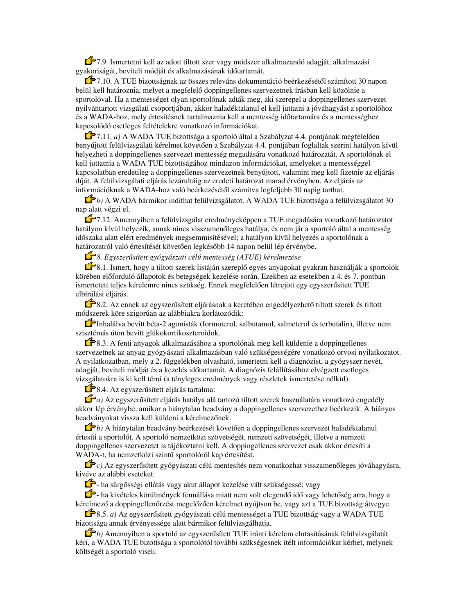7.9. Ismertetni kell az adott tiltott szer vagy módszer alkalmazandó adagját, alkalmazási gyakoriságát, beviteli módját és alkalmazásának időtartamát.

7.10. A TUE bizottságnak az összes releváns dokumentáció beérkezésétől számított 30 napon belül kell határoznia, melyet a megfelelő doppingellenes szervezetnek írásban kell közölnie a sportolóval. Ha a mentességet olyan sportolónak adták meg, aki szerepel a doppingellenes szervezet nyilvántartott vizsgálati csoportjában, akkor haladéktalanul el kell juttatni a jóváhagyást a sportolóhoz és a WADA-hoz, mely értesítésnek tartalmaznia kell a mentesség időtartamára és a mentességhez kapcsolódó esetleges feltételekre vonatkozó információkat.

7.11. *a)* A WADA TUE bizottsága a sportoló által a Szabályzat 4.4. pontjának megfelelően benyújtott felülvizsgálati kérelmet követően a Szabályzat 4.4. pontjában foglaltak szerint hatályon kívül helyezheti a doppingellenes szervezet mentesség megadására vonatkozó határozatát. A sportolónak el kell juttatnia a WADA TUE bizottságához mindazon információkat, amelyeket a mentességgel kapcsolatban eredetileg a doppingellenes szervezetnek benyújtott, valamint meg kell fizetnie az eljárás díját. A felülvizsgálati eljárás lezárultáig az eredeti határozat marad érvényben. Az eljárás az információknak a WADA-hoz való beérkezésétől számítva legfeljebb 30 napig tarthat.

*b)* A WADA bármikor indíthat felülvizsgálatot. A WADA TUE bizottsága a felülvizsgálatot 30 nap alatt végzi el.

7.12. Amennyiben a felülvizsgálat eredményeképpen a TUE megadására vonatkozó határozatot hatályon kívül helyezik, annak nincs visszamenőleges hatálya, és nem jár a sportoló által a mentesség időszaka alatt elért eredmények megsemmisítésével; a hatályon kívül helyezés a sportolónak a határozatról való értesítését követően legkésőbb 14 napon belül lép érvénybe.

*8. Egyszerűsített gyógyászati célú mentesség (ATUE) kérelmezése*

8.1. Ismert, hogy a tiltott szerek listáján szereplő egyes anyagokat gyakran használják a sportolók körében előforduló állapotok és betegségek kezelése során. Ezekben az esetekben a 4. és 7. pontban ismertetett teljes kérelemre nincs szükség. Ennek megfelelően létrejött egy egyszerűsített TUE elbírálási eljárás.

8.2. Az ennek az egyszerűsített eljárásnak a keretében engedélyezhető tiltott szerek és tiltott módszerek köre szigorúan az alábbiakra korlátozódik:

 $\mathbf{I}$  Inhalálva bevitt béta-2 agonisták (formoterol, salbutamol, salmeterol és terbutalin), illetve nem szisztémás úton bevitt glükokortikoszteroidok.

 $\mathbb{F}$ 8.3. A fenti anyagok alkalmazásához a sportolónak meg kell küldenie a doppingellenes szervezetnek az anyag gyógyászati alkalmazásban való szükségességére vonatkozó orvosi nyilatkozatot. A nyilatkozatban, mely a 2. függelékben olvasható, ismertetni kell a diagnózist, a gyógyszer nevét, adagját, beviteli módját és a kezelés időtartamát. A diagnózis felállításához elvégzett esetleges vizsgálatokra is ki kell térni (a tényleges eredmények vagy részletek ismertetése nélkül).

8.4. Az egyszerűsített eljárás tartalma:

 $F_a$ ) Az egyszerűsített eljárás hatálya alá tartozó tiltott szerek használatára vonatkozó engedély akkor lép érvénybe, amikor a hiánytalan beadvány a doppingellenes szervezethez beérkezik. A hiányos beadványokat vissza kell küldeni a kérelmezőnek.

*f*b) A hiánytalan beadvány beérkezését követően a doppingellenes szervezet haladéktalanul értesíti a sportolót. A sportoló nemzetközi szövetségét, nemzeti szövetségét, illetve a nemzeti doppingellenes szervezetet is tájékoztatni kell. A doppingellenes szervezet csak akkor értesíti a WADA-t, ha nemzetközi szintű sportolóról kap értesítést.

 $\mathbf{F}_c$ ) Az egyszerűsített gyógyászati célú mentesítés nem vonatkozhat visszamenőleges jóváhagyásra, kivéve az alábbi eseteket:

- ha sürgősségi ellátás vagy akut állapot kezelése vált szükségessé; vagy

 $\mathbf{F}$ - ha kivételes körülmények fennállása miatt nem volt elegendő idő vagy lehetőség arra, hogy a kérelmező a doppingellenőrzést megelőzően kérelmet nyújtson be, vagy azt a TUE bizottság átvegye.

 $\mathbf{F}$ **8.5.** *a*) Az egyszerűsített gyógyászati célú mentességet a TUE bizottság vagy a WADA TUE bizottsága annak érvényessége alatt bármikor felülvizsgálhatja.

*b*) Amennyiben a sportoló az egyszerűsített TUE iránti kérelem elutasításának felülvizsgálatát kéri, a WADA TUE bizottsága a sportolótól további szükségesnek ítélt információkat kérhet, melynek költségét a sportoló viseli.